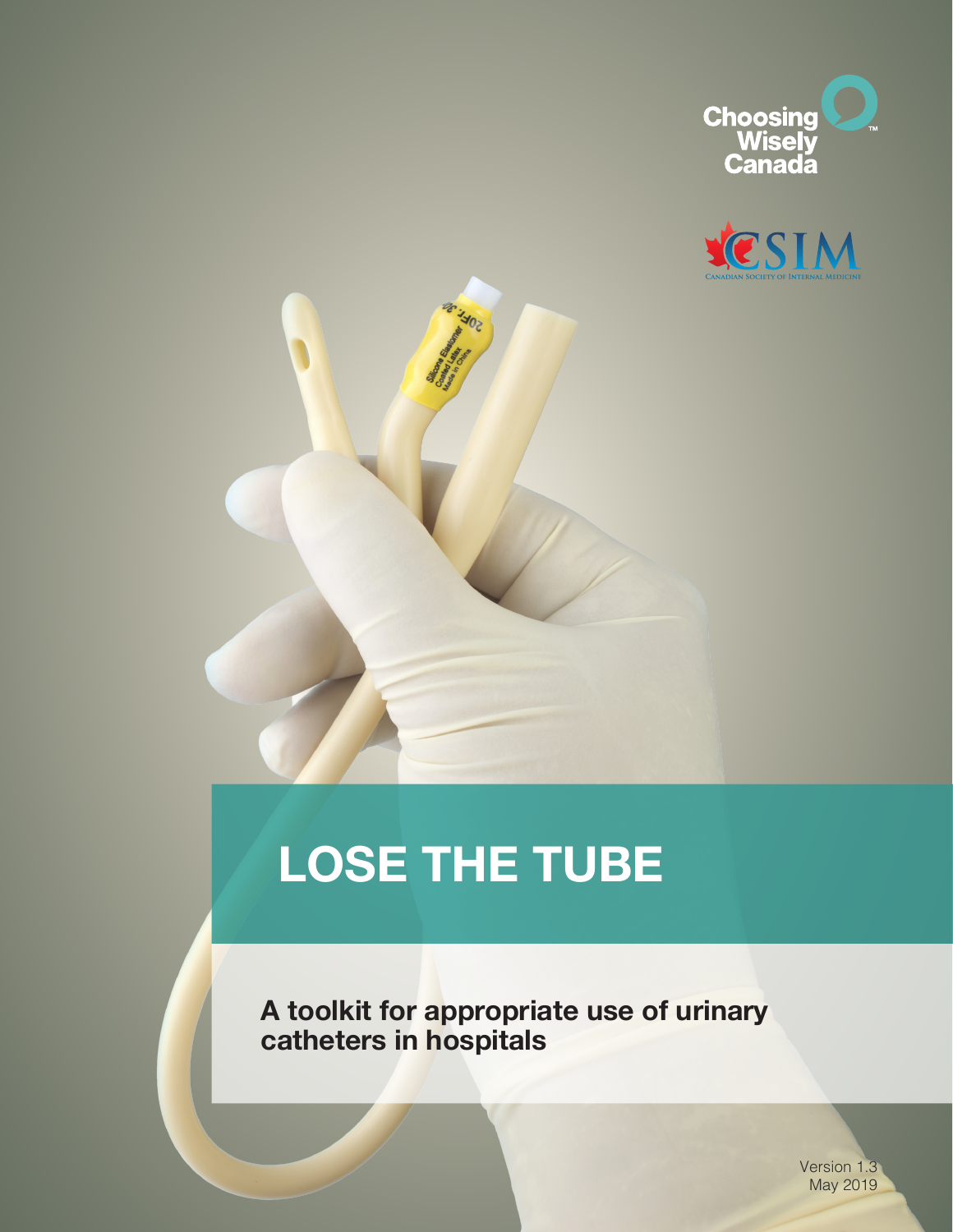





# **LOSE THE TUBE**

**A toolkit for appropriate use of urinary catheters in hospitals**

> Version 1.3 May 2019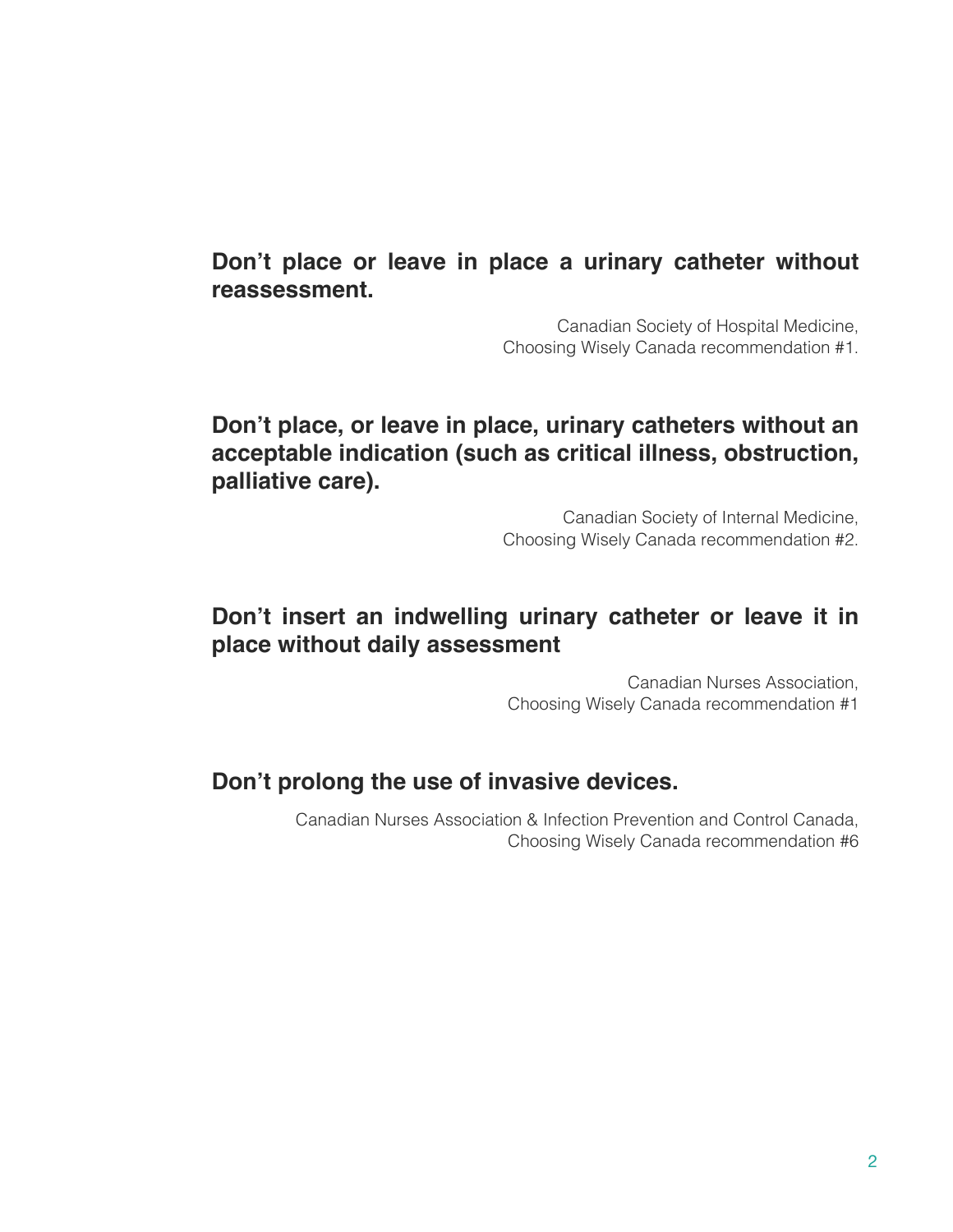**Don't place or leave in place a urinary catheter without reassessment.**

> Canadian Society of Hospital Medicine, Choosing Wisely Canada recommendation #1.

# **Don't place, or leave in place, urinary catheters without an acceptable indication (such as critical illness, obstruction, palliative care).**

Canadian Society of Internal Medicine, Choosing Wisely Canada recommendation #2.

# **Don't insert an indwelling urinary catheter or leave it in place without daily assessment**

Canadian Nurses Association, Choosing Wisely Canada recommendation #1

## **Don't prolong the use of invasive devices.**

Canadian Nurses Association & Infection Prevention and Control Canada, Choosing Wisely Canada recommendation #6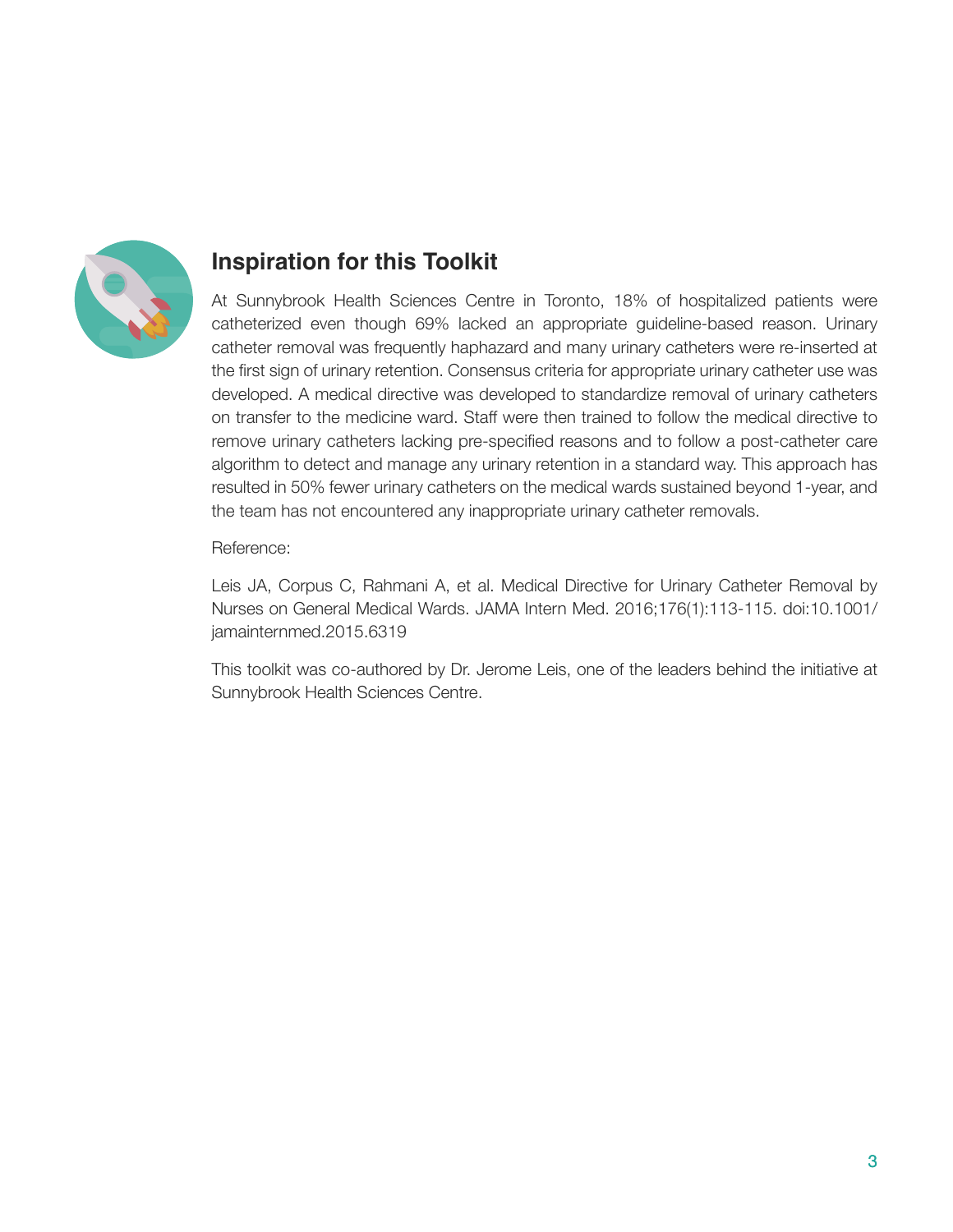

# **Inspiration for this Toolkit**

At Sunnybrook Health Sciences Centre in Toronto, 18% of hospitalized patients were catheterized even though 69% lacked an appropriate guideline-based reason. Urinary catheter removal was frequently haphazard and many urinary catheters were re-inserted at the first sign of urinary retention. Consensus criteria for appropriate urinary catheter use was developed. A medical directive was developed to standardize removal of urinary catheters on transfer to the medicine ward. Staff were then trained to follow the medical directive to remove urinary catheters lacking pre-specified reasons and to follow a post-catheter care algorithm to detect and manage any urinary retention in a standard way. This approach has resulted in 50% fewer urinary catheters on the medical wards sustained beyond 1-year, and the team has not encountered any inappropriate urinary catheter removals.

#### Reference:

Leis JA, Corpus C, Rahmani A, et al. Medical Directive for Urinary Catheter Removal by Nurses on General Medical Wards. JAMA Intern Med. 2016;176(1):113-115. doi:10.1001/ jamainternmed.2015.6319

This toolkit was co-authored by Dr. Jerome Leis, one of the leaders behind the initiative at Sunnybrook Health Sciences Centre.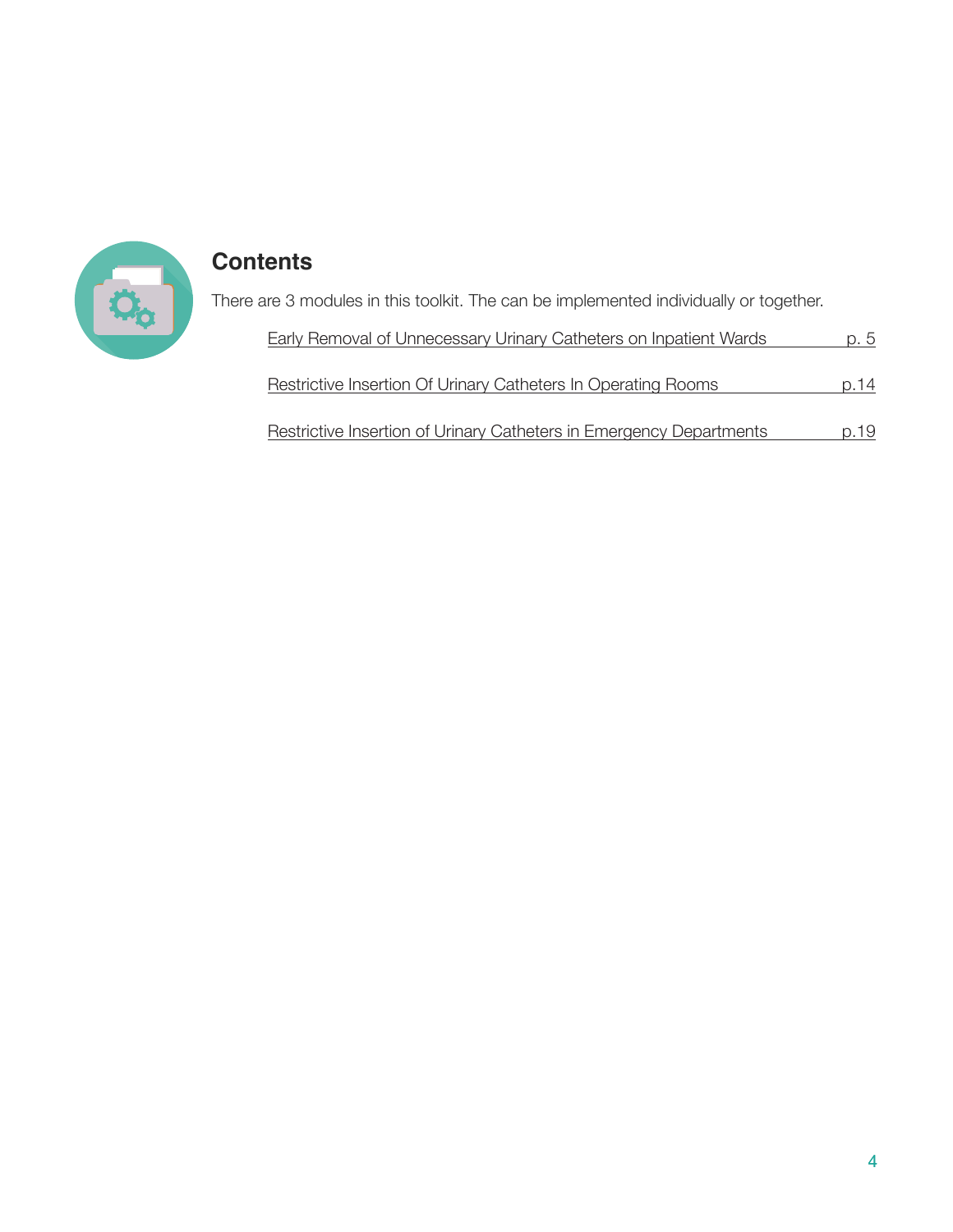

# **Contents**

There are 3 modules in this toolkit. The can be implemented individually or together.

| Early Removal of Unnecessary Urinary Catheters on Inpatient Wards                                                                    | p. 5 |
|--------------------------------------------------------------------------------------------------------------------------------------|------|
| Restrictive Insertion Of Urinary Catheters In Operating Rooms<br>Restrictive Insertion of Urinary Catheters in Emergency Departments | p.14 |
|                                                                                                                                      | p.19 |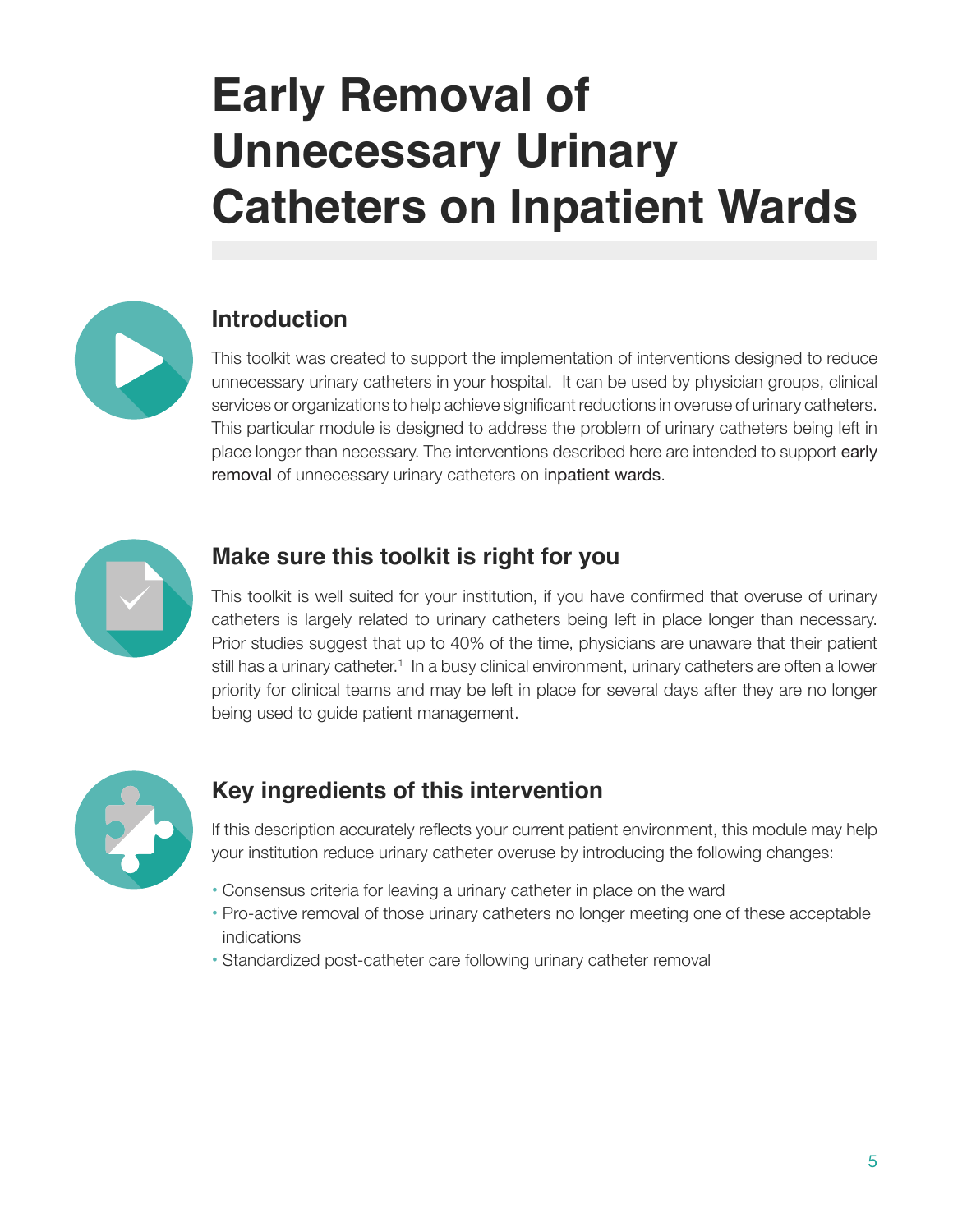# <span id="page-4-0"></span>**Early Removal of Unnecessary Urinary Catheters on Inpatient Wards**



# **Introduction**

This toolkit was created to support the implementation of interventions designed to reduce unnecessary urinary catheters in your hospital. It can be used by physician groups, clinical services or organizations to help achieve significant reductions in overuse of urinary catheters. This particular module is designed to address the problem of urinary catheters being left in place longer than necessary. The interventions described here are intended to support early removal of unnecessary urinary catheters on inpatient wards.



# **Make sure this toolkit is right for you**

This toolkit is well suited for your institution, if you have confirmed that overuse of urinary catheters is largely related to urinary catheters being left in place longer than necessary. Prior studies suggest that up to 40% of the time, physicians are unaware that their patient still has a urinary catheter.<sup>1</sup> In a busy clinical environment, urinary catheters are often a lower priority for clinical teams and may be left in place for several days after they are no longer being used to guide patient management.



# **Key ingredients of this intervention**

If this description accurately reflects your current patient environment, this module may help your institution reduce urinary catheter overuse by introducing the following changes:

- Consensus criteria for leaving a urinary catheter in place on the ward
- Pro-active removal of those urinary catheters no longer meeting one of these acceptable • indications
- Standardized post-catheter care following urinary catheter removal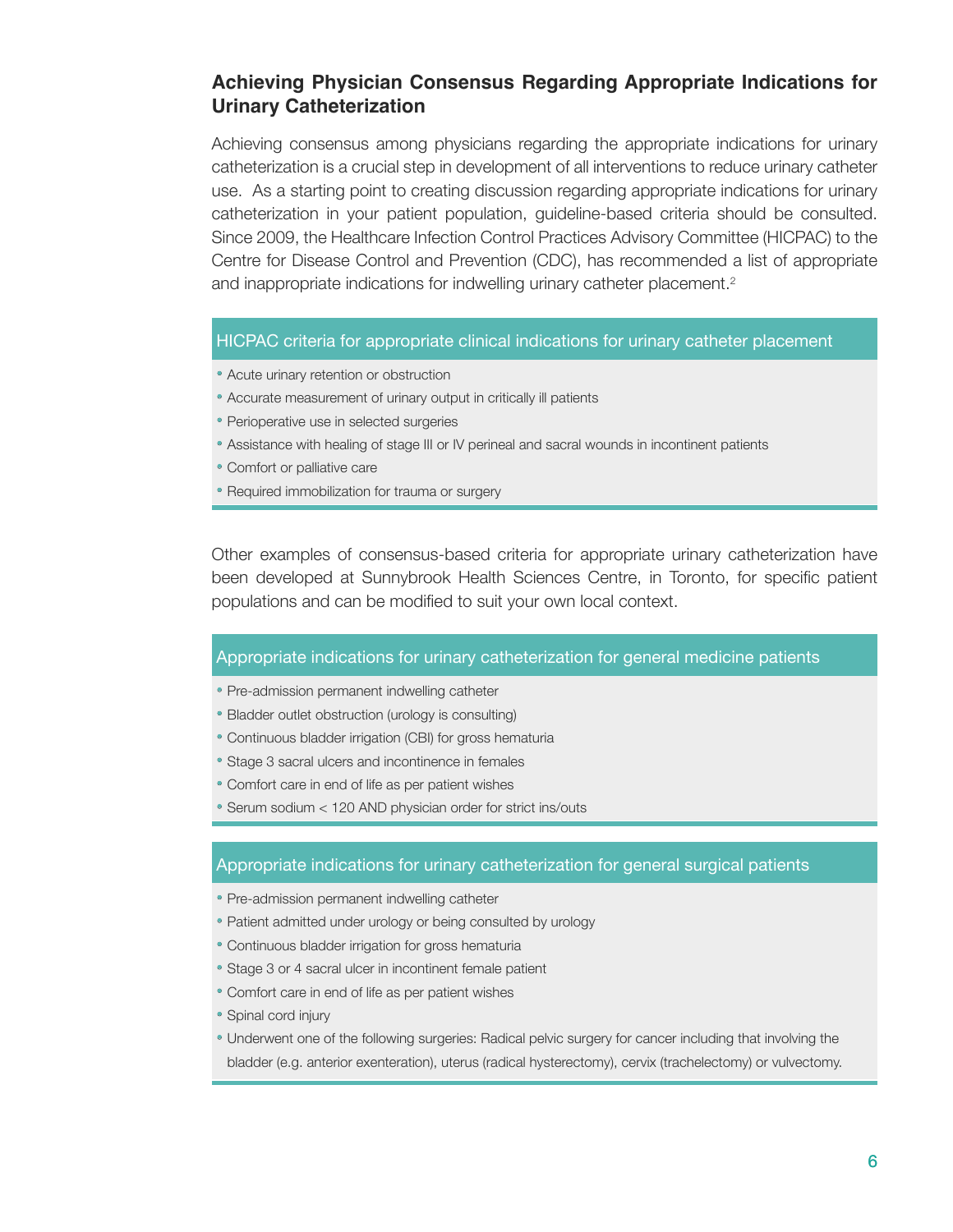## **Achieving Physician Consensus Regarding Appropriate Indications for Urinary Catheterization**

Achieving consensus among physicians regarding the appropriate indications for urinary catheterization is a crucial step in development of all interventions to reduce urinary catheter use. As a starting point to creating discussion regarding appropriate indications for urinary catheterization in your patient population, guideline-based criteria should be consulted. Since 2009, the Healthcare Infection Control Practices Advisory Committee (HICPAC) to the Centre for Disease Control and Prevention (CDC), has recommended a list of appropriate and inappropriate indications for indwelling urinary catheter placement.<sup>2</sup>

#### HICPAC criteria for appropriate clinical indications for urinary catheter placement

- Acute urinary retention or obstruction
- Accurate measurement of urinary output in critically ill patients
- Perioperative use in selected surgeries
- Assistance with healing of stage III or IV perineal and sacral wounds in incontinent patients
- Comfort or palliative care
- Required immobilization for trauma or surgery

Other examples of consensus-based criteria for appropriate urinary catheterization have been developed at Sunnybrook Health Sciences Centre, in Toronto, for specific patient populations and can be modified to suit your own local context.

#### Appropriate indications for urinary catheterization for general medicine patients

- Pre-admission permanent indwelling catheter
- Bladder outlet obstruction (urology is consulting)
- Continuous bladder irrigation (CBI) for gross hematuria
- Stage 3 sacral ulcers and incontinence in females
- Comfort care in end of life as per patient wishes
- Serum sodium < 120 AND physician order for strict ins/outs

#### Appropriate indications for urinary catheterization for general surgical patients

- Pre-admission permanent indwelling catheter
- Patient admitted under urology or being consulted by urology
- Continuous bladder irrigation for gross hematuria
- Stage 3 or 4 sacral ulcer in incontinent female patient
- Comfort care in end of life as per patient wishes
- Spinal cord injury
- Underwent one of the following surgeries: Radical pelvic surgery for cancer including that involving the bladder (e.g. anterior exenteration), uterus (radical hysterectomy), cervix (trachelectomy) or vulvectomy.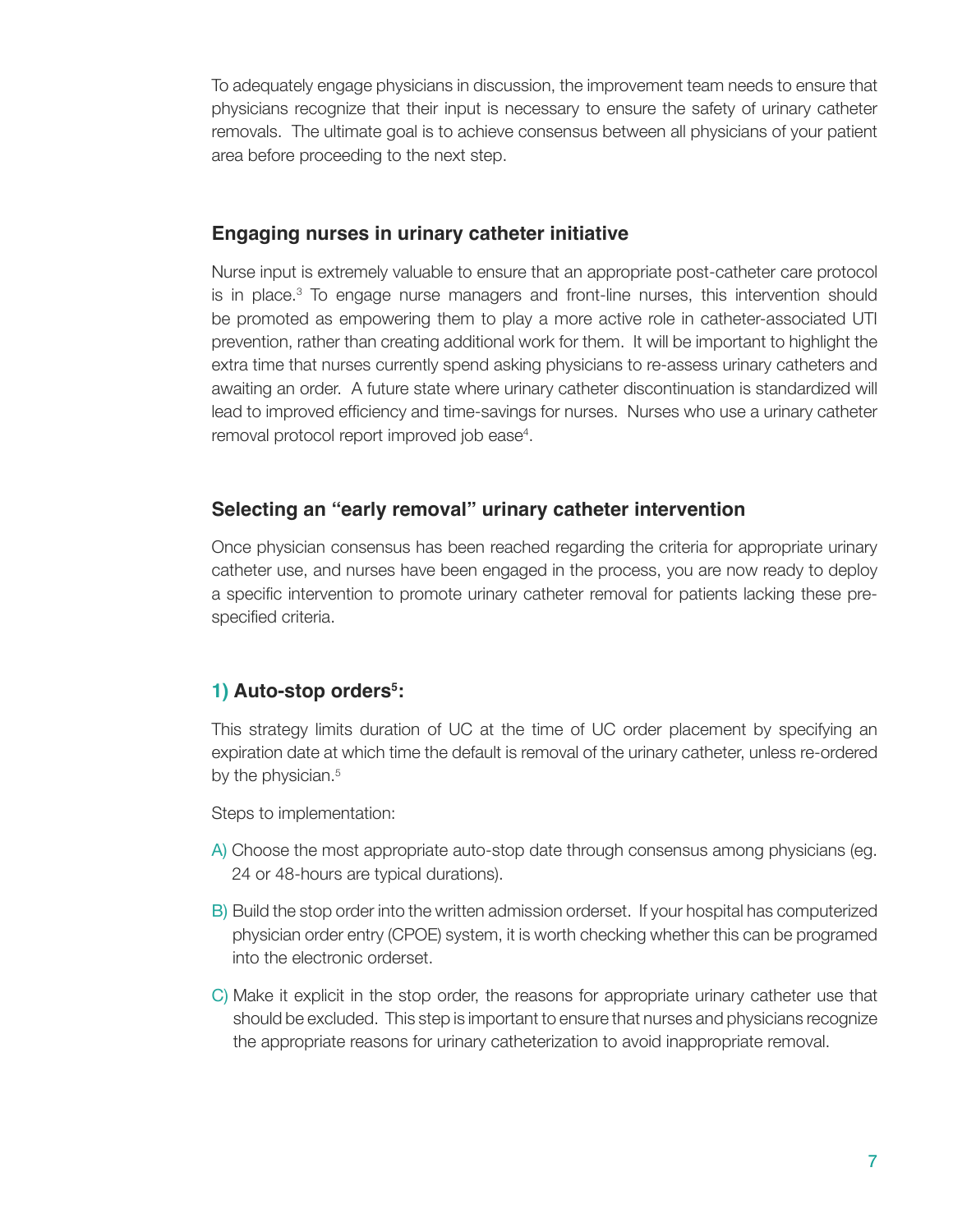To adequately engage physicians in discussion, the improvement team needs to ensure that physicians recognize that their input is necessary to ensure the safety of urinary catheter removals. The ultimate goal is to achieve consensus between all physicians of your patient area before proceeding to the next step.

## **Engaging nurses in urinary catheter initiative**

Nurse input is extremely valuable to ensure that an appropriate post-catheter care protocol is in place.<sup>3</sup> To engage nurse managers and front-line nurses, this intervention should be promoted as empowering them to play a more active role in catheter-associated UTI prevention, rather than creating additional work for them. It will be important to highlight the extra time that nurses currently spend asking physicians to re-assess urinary catheters and awaiting an order. A future state where urinary catheter discontinuation is standardized will lead to improved efficiency and time-savings for nurses. Nurses who use a urinary catheter removal protocol report improved job ease<sup>4</sup>.

## **Selecting an "early removal" urinary catheter intervention**

Once physician consensus has been reached regarding the criteria for appropriate urinary catheter use, and nurses have been engaged in the process, you are now ready to deploy a specific intervention to promote urinary catheter removal for patients lacking these prespecified criteria.

## **1) Auto-stop orders5 :**

This strategy limits duration of UC at the time of UC order placement by specifying an expiration date at which time the default is removal of the urinary catheter, unless re-ordered by the physician.<sup>5</sup>

Steps to implementation:

- A) Choose the most appropriate auto-stop date through consensus among physicians (eg. 24 or 48-hours are typical durations).
- B) Build the stop order into the written admission orderset. If your hospital has computerized physician order entry (CPOE) system, it is worth checking whether this can be programed into the electronic orderset.
- C) Make it explicit in the stop order, the reasons for appropriate urinary catheter use that should be excluded. This step is important to ensure that nurses and physicians recognize the appropriate reasons for urinary catheterization to avoid inappropriate removal.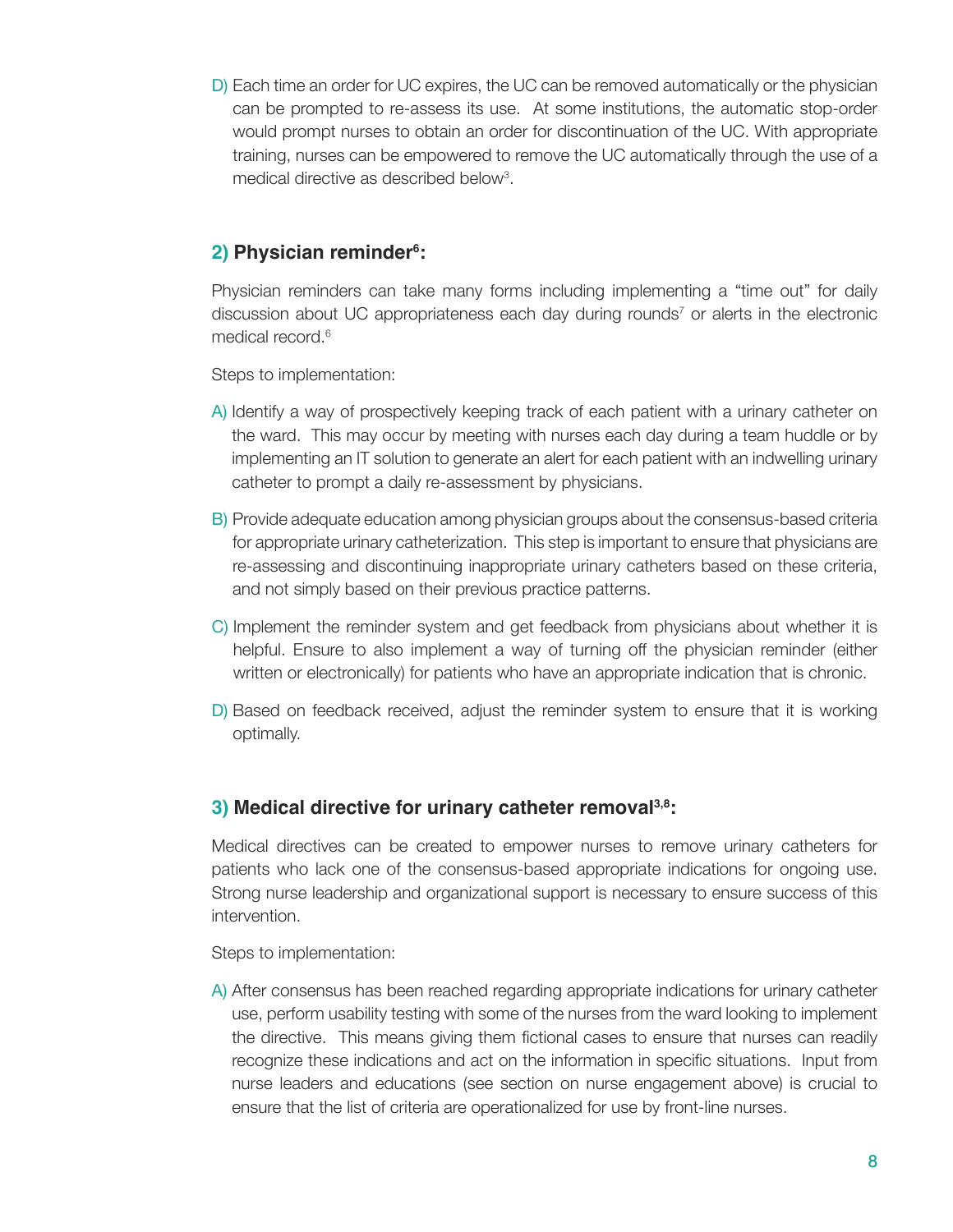D) Each time an order for UC expires, the UC can be removed automatically or the physician can be prompted to re-assess its use. At some institutions, the automatic stop-order would prompt nurses to obtain an order for discontinuation of the UC. With appropriate training, nurses can be empowered to remove the UC automatically through the use of a medical directive as described below3 .

## **2) Physician reminder6 :**

Physician reminders can take many forms including implementing a "time out" for daily discussion about UC appropriateness each day during rounds<sup>7</sup> or alerts in the electronic medical record.<sup>6</sup>

Steps to implementation:

- A) Identify a way of prospectively keeping track of each patient with a urinary catheter on the ward. This may occur by meeting with nurses each day during a team huddle or by implementing an IT solution to generate an alert for each patient with an indwelling urinary catheter to prompt a daily re-assessment by physicians.
- B) Provide adequate education among physician groups about the consensus-based criteria for appropriate urinary catheterization. This step is important to ensure that physicians are re-assessing and discontinuing inappropriate urinary catheters based on these criteria, and not simply based on their previous practice patterns.
- C) Implement the reminder system and get feedback from physicians about whether it is helpful. Ensure to also implement a way of turning off the physician reminder (either written or electronically) for patients who have an appropriate indication that is chronic.
- D) Based on feedback received, adjust the reminder system to ensure that it is working optimally.

## **3) Medical directive for urinary catheter removal3,8:**

Medical directives can be created to empower nurses to remove urinary catheters for patients who lack one of the consensus-based appropriate indications for ongoing use. Strong nurse leadership and organizational support is necessary to ensure success of this intervention.

Steps to implementation:

A) After consensus has been reached regarding appropriate indications for urinary catheter use, perform usability testing with some of the nurses from the ward looking to implement the directive. This means giving them fictional cases to ensure that nurses can readily recognize these indications and act on the information in specific situations. Input from nurse leaders and educations (see section on nurse engagement above) is crucial to ensure that the list of criteria are operationalized for use by front-line nurses.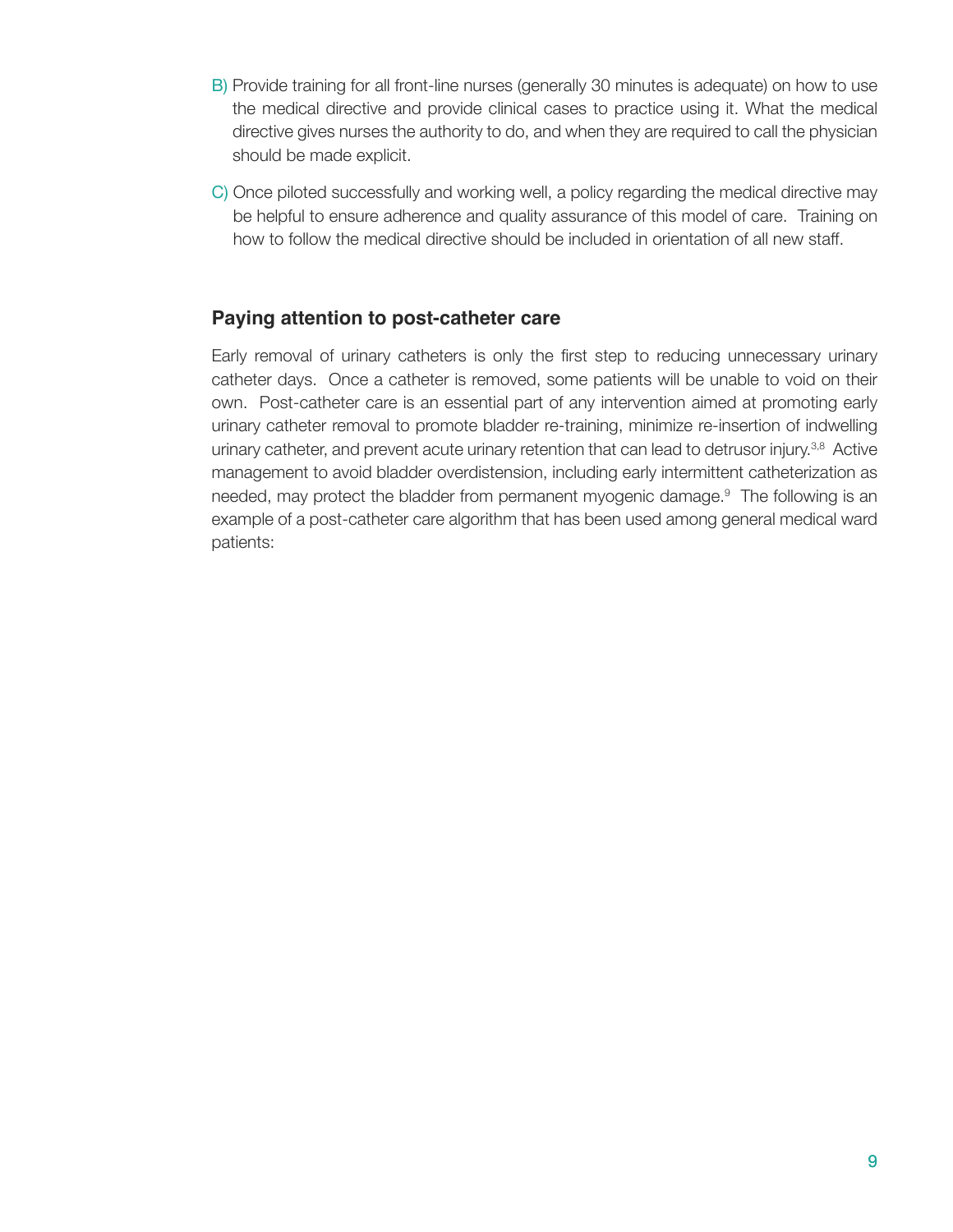- B) Provide training for all front-line nurses (generally 30 minutes is adequate) on how to use the medical directive and provide clinical cases to practice using it. What the medical directive gives nurses the authority to do, and when they are required to call the physician should be made explicit.
- C) Once piloted successfully and working well, a policy regarding the medical directive may be helpful to ensure adherence and quality assurance of this model of care. Training on how to follow the medical directive should be included in orientation of all new staff.

## **Paying attention to post-catheter care**

Early removal of urinary catheters is only the first step to reducing unnecessary urinary catheter days. Once a catheter is removed, some patients will be unable to void on their own. Post-catheter care is an essential part of any intervention aimed at promoting early urinary catheter removal to promote bladder re-training, minimize re-insertion of indwelling urinary catheter, and prevent acute urinary retention that can lead to detrusor injury.<sup>3,8</sup> Active management to avoid bladder overdistension, including early intermittent catheterization as needed, may protect the bladder from permanent myogenic damage.<sup>9</sup> The following is an example of a post-catheter care algorithm that has been used among general medical ward patients: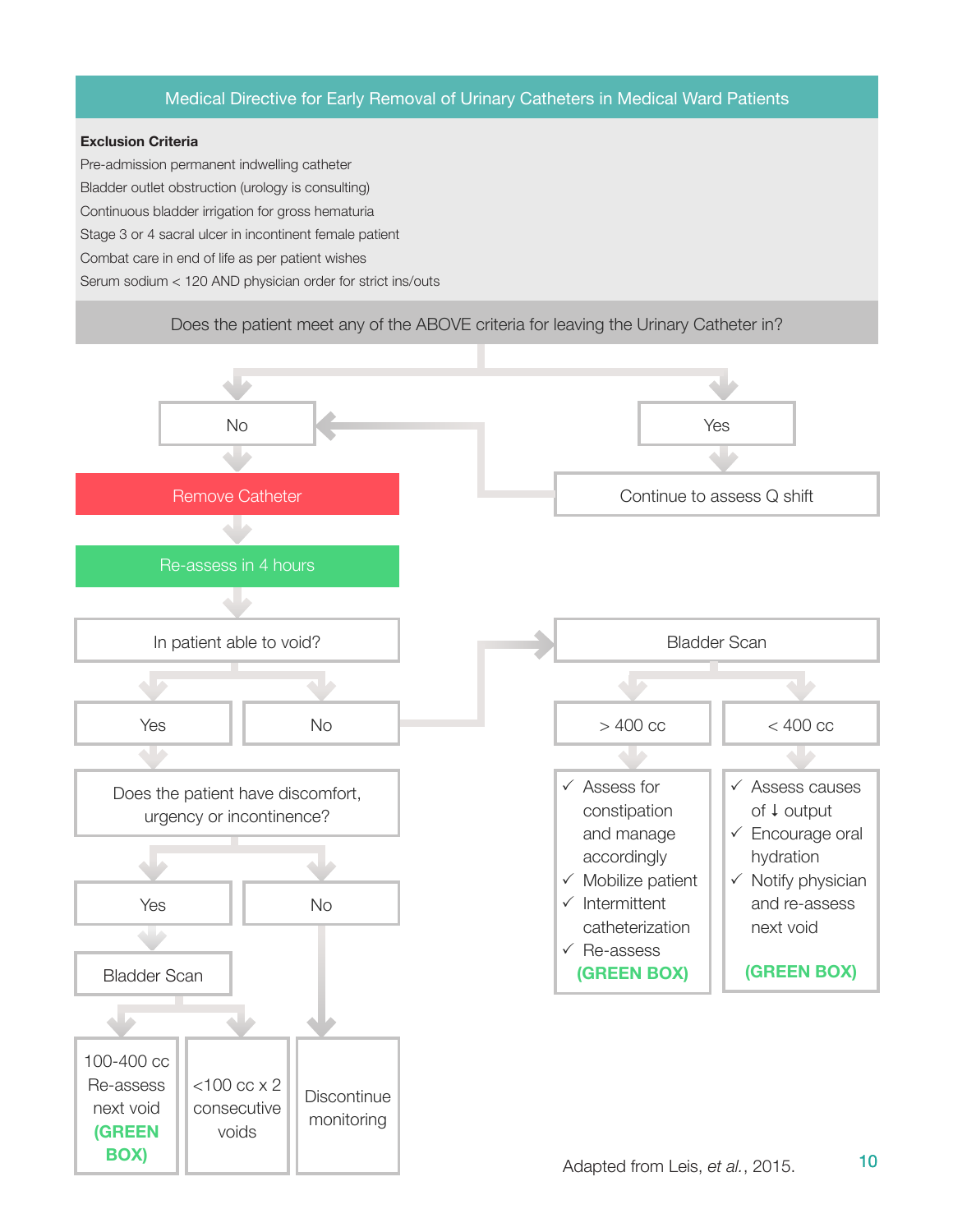### Medical Directive for Early Removal of Urinary Catheters in Medical Ward Patients

#### **Exclusion Criteria**

Pre-admission permanent indwelling catheter Bladder outlet obstruction (urology is consulting) Continuous bladder irrigation for gross hematuria Stage 3 or 4 sacral ulcer in incontinent female patient Combat care in end of life as per patient wishes Serum sodium < 120 AND physician order for strict ins/outs

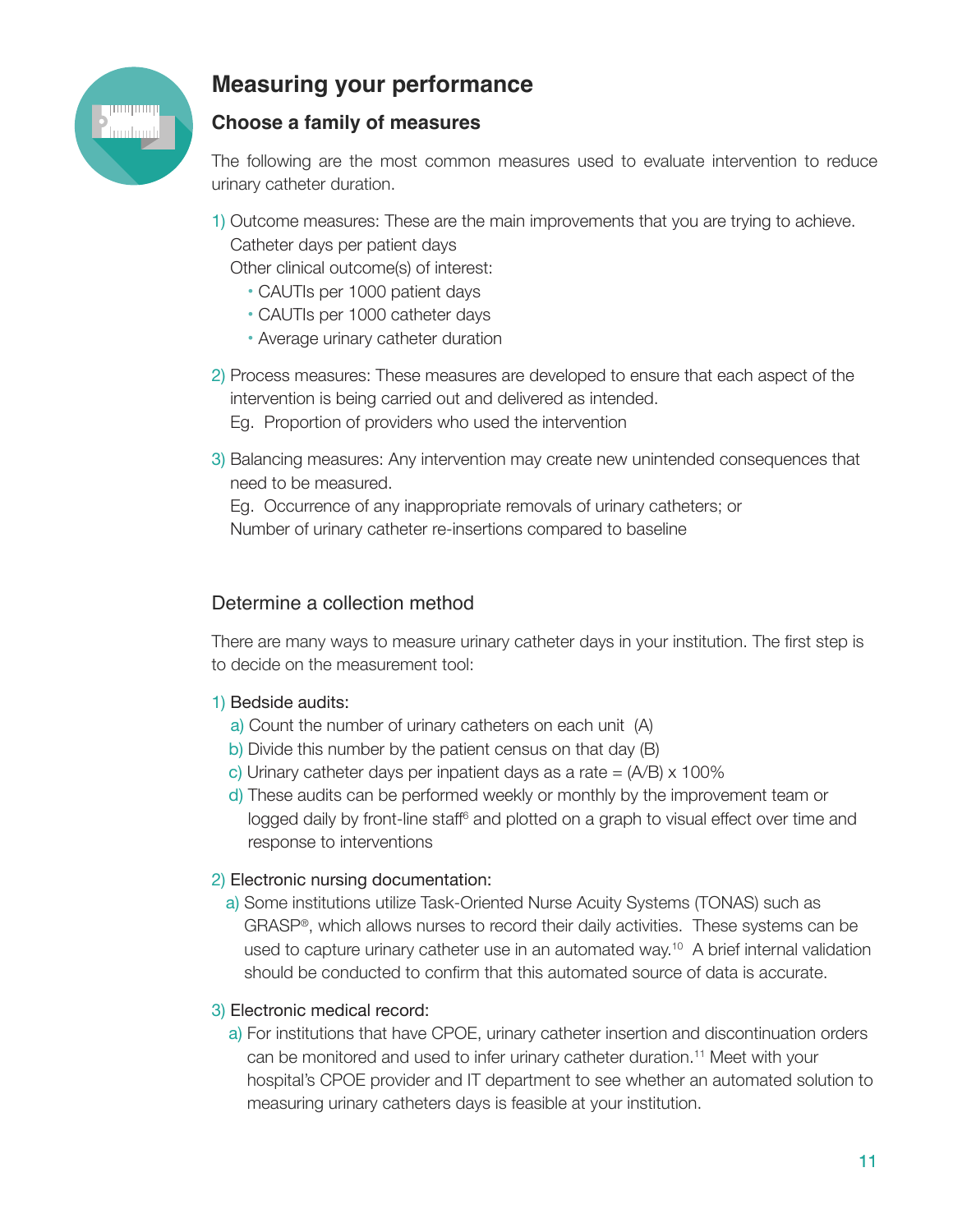

# **Measuring your performance**

## **Choose a family of measures**

The following are the most common measures used to evaluate intervention to reduce urinary catheter duration.

1) Outcome measures: These are the main improvements that you are trying to achieve. Catheter days per patient days

Other clinical outcome(s) of interest:

- CAUTIs per 1000 patient days
- CAUTIs per 1000 catheter days
- Average urinary catheter duration
- 2) Process measures: These measures are developed to ensure that each aspect of the intervention is being carried out and delivered as intended. Eg. Proportion of providers who used the intervention
- 3) Balancing measures: Any intervention may create new unintended consequences that need to be measured.

Eg. Occurrence of any inappropriate removals of urinary catheters; or Number of urinary catheter re-insertions compared to baseline

## Determine a collection method

There are many ways to measure urinary catheter days in your institution. The first step is to decide on the measurement tool:

### 1) Bedside audits:

- a) Count the number of urinary catheters on each unit (A)
- b) Divide this number by the patient census on that day (B)
- c) Urinary catheter days per inpatient days as a rate =  $(A/B) \times 100\%$
- d) These audits can be performed weekly or monthly by the improvement team or logged daily by front-line staff<sup>6</sup> and plotted on a graph to visual effect over time and response to interventions

## 2) Electronic nursing documentation:

a) Some institutions utilize Task-Oriented Nurse Acuity Systems (TONAS) such as GRASP®, which allows nurses to record their daily activities. These systems can be used to capture urinary catheter use in an automated way.<sup>10</sup> A brief internal validation should be conducted to confirm that this automated source of data is accurate.

## 3) Electronic medical record:

a) For institutions that have CPOE, urinary catheter insertion and discontinuation orders can be monitored and used to infer urinary catheter duration.11 Meet with your hospital's CPOE provider and IT department to see whether an automated solution to measuring urinary catheters days is feasible at your institution.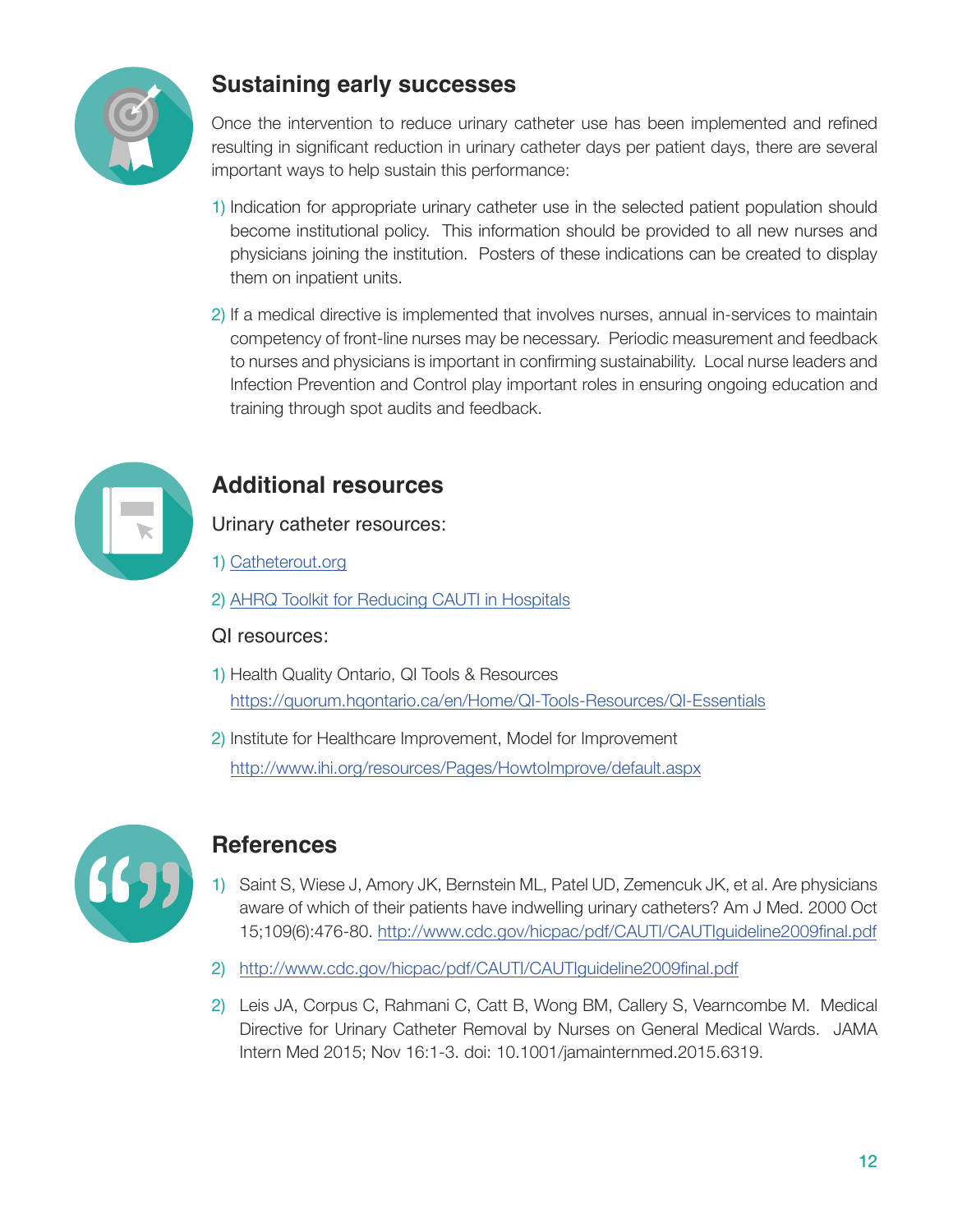

# **Sustaining early successes**

Once the intervention to reduce urinary catheter use has been implemented and refined resulting in significant reduction in urinary catheter days per patient days, there are several important ways to help sustain this performance:

- 1) Indication for appropriate urinary catheter use in the selected patient population should become institutional policy. This information should be provided to all new nurses and physicians joining the institution. Posters of these indications can be created to display them on inpatient units.
- 2) If a medical directive is implemented that involves nurses, annual in-services to maintain competency of front-line nurses may be necessary. Periodic measurement and feedback to nurses and physicians is important in confirming sustainability. Local nurse leaders and Infection Prevention and Control play important roles in ensuring ongoing education and training through spot audits and feedback.



# **Additional resources**

## Urinary catheter resources:

- 1) [Catheterout.org](http://Catheterout.org)
- 2) [AHRQ Toolkit for Reducing CAUTI in Hospitals](http://www.ahrq.gov/professionals/quality-patient-safety/hais/tools/cauti-hospitals/index.html)
- QI resources:
- 1) Health Quality Ontario, QI Tools & Resources <https://quorum.hqontario.ca/en/Home/QI-Tools-Resources/QI-Essentials>
- 2) Institute for Healthcare Improvement, Model for Improvement <http://www.ihi.org/resources/Pages/HowtoImprove/default.aspx>



# **References**

- 1) Saint S, Wiese J, Amory JK, Bernstein ML, Patel UD, Zemencuk JK, et al. Are physicians aware of which of their patients have indwelling urinary catheters? Am J Med. 2000 Oct 15;109(6):476-80. http://www.cdc.gov/hicpac/pdf/CAUTI/CAUTIguideline2009final.pdf
- 2) http://www.cdc.gov/hicpac/pdf/CAUTI/CAUTIguideline2009final.pdf
- 2) Leis JA, Corpus C, Rahmani C, Catt B, Wong BM, Callery S, Vearncombe M. Medical Directive for Urinary Catheter Removal by Nurses on General Medical Wards. JAMA Intern Med 2015; Nov 16:1-3. doi: 10.1001/jamainternmed.2015.6319.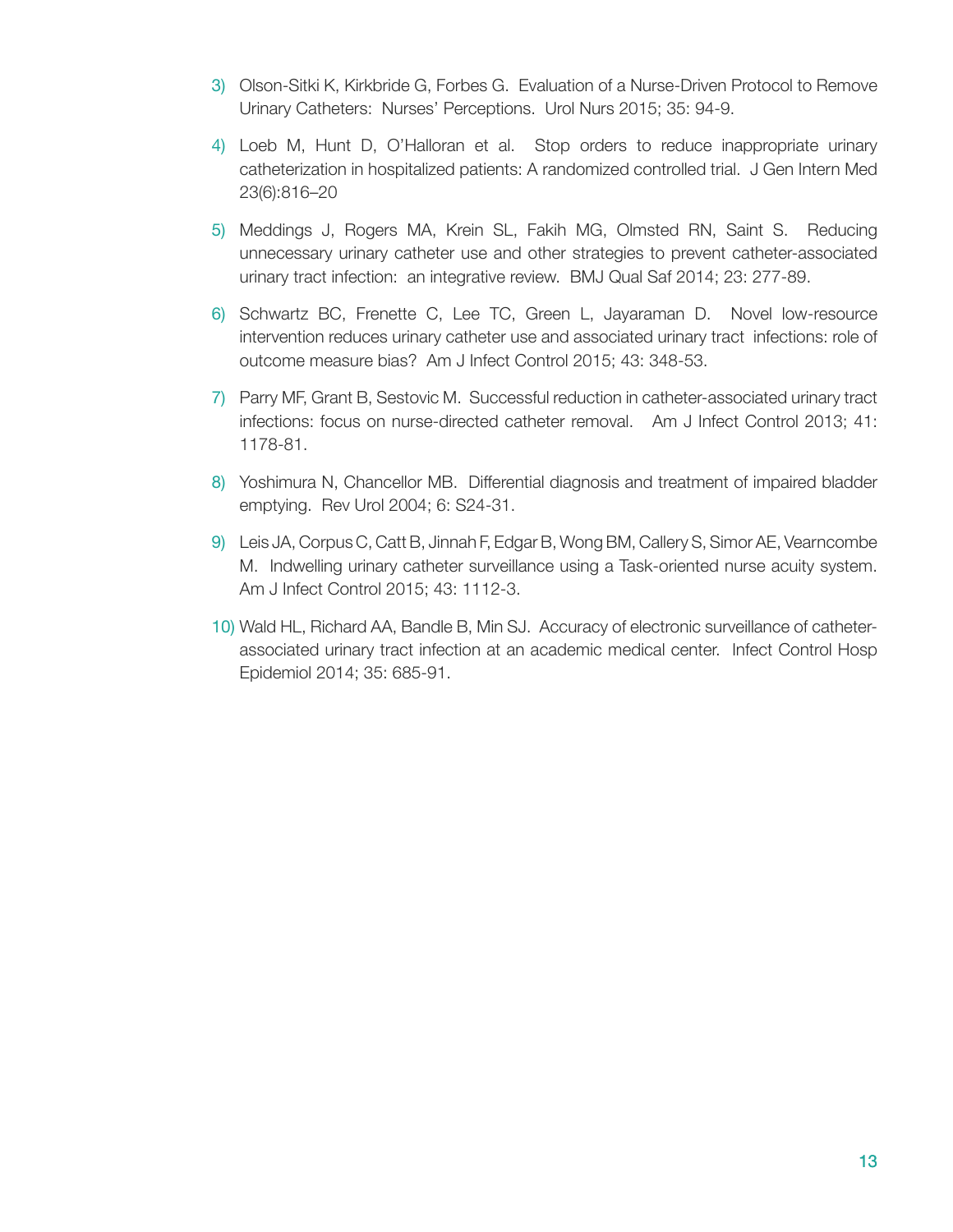- 3) Olson-Sitki K, Kirkbride G, Forbes G. Evaluation of a Nurse-Driven Protocol to Remove Urinary Catheters: Nurses' Perceptions. Urol Nurs 2015; 35: 94-9.
- 4) Loeb M, Hunt D, O'Halloran et al. Stop orders to reduce inappropriate urinary catheterization in hospitalized patients: A randomized controlled trial. J Gen Intern Med 23(6):816–20
- 5) Meddings J, Rogers MA, Krein SL, Fakih MG, Olmsted RN, Saint S. Reducing unnecessary urinary catheter use and other strategies to prevent catheter-associated urinary tract infection: an integrative review. BMJ Qual Saf 2014; 23: 277-89.
- 6) Schwartz BC, Frenette C, Lee TC, Green L, Jayaraman D. Novel low-resource intervention reduces urinary catheter use and associated urinary tract infections: role of outcome measure bias? Am J Infect Control 2015; 43: 348-53.
- 7) Parry MF, Grant B, Sestovic M. Successful reduction in catheter-associated urinary tract infections: focus on nurse-directed catheter removal. Am J Infect Control 2013; 41: 1178-81.
- 8) Yoshimura N, Chancellor MB. Differential diagnosis and treatment of impaired bladder emptying. Rev Urol 2004; 6: S24-31.
- 9) Leis JA, Corpus C, Catt B, Jinnah F, Edgar B, Wong BM, Callery S, Simor AE, Vearncombe M. Indwelling urinary catheter surveillance using a Task-oriented nurse acuity system. Am J Infect Control 2015; 43: 1112-3.
- 10) Wald HL, Richard AA, Bandle B, Min SJ. Accuracy of electronic surveillance of catheterassociated urinary tract infection at an academic medical center. Infect Control Hosp Epidemiol 2014; 35: 685-91.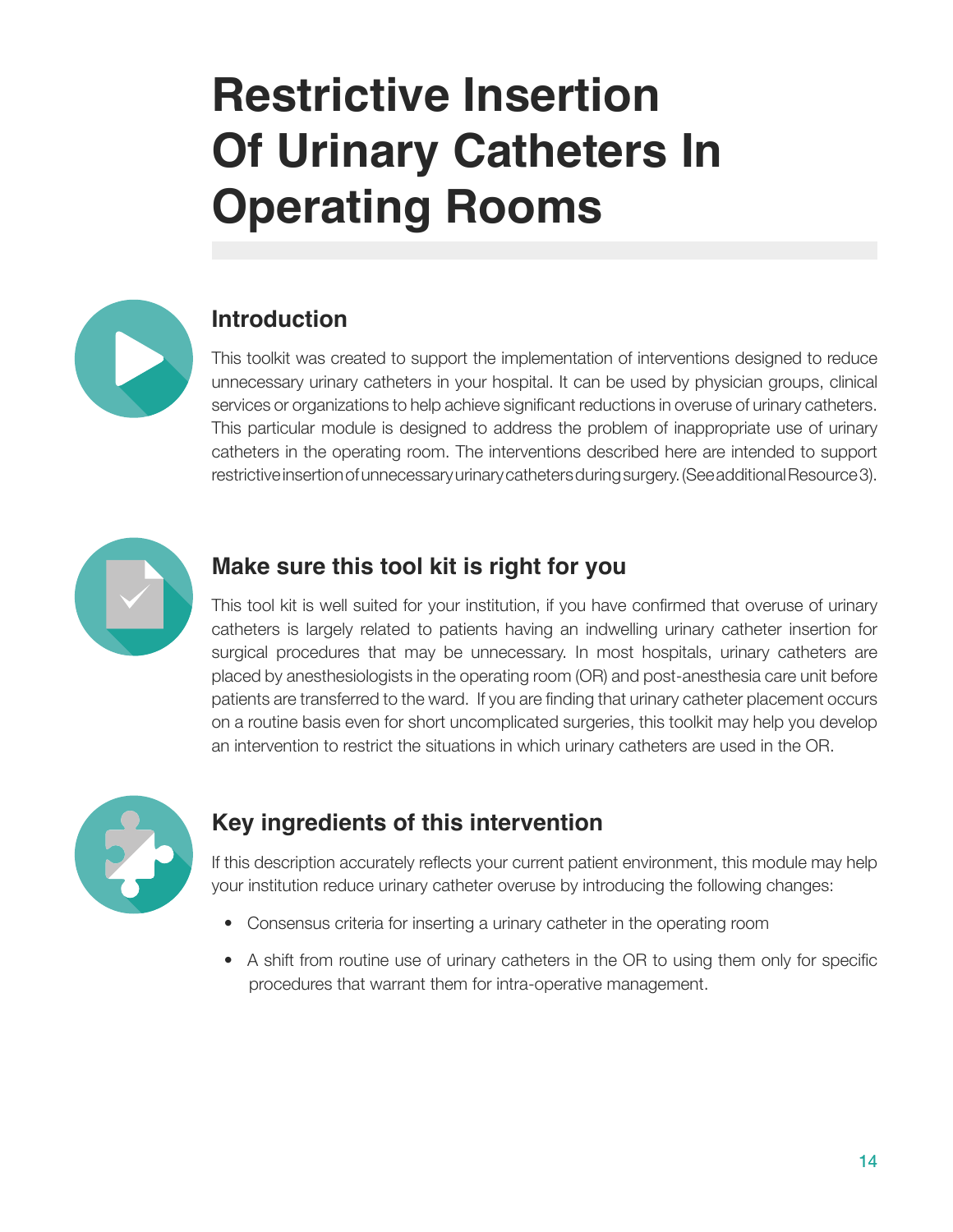# <span id="page-13-0"></span>**Restrictive Insertion Of Urinary Catheters In Operating Rooms**



# **Introduction**

This toolkit was created to support the implementation of interventions designed to reduce unnecessary urinary catheters in your hospital. It can be used by physician groups, clinical services or organizations to help achieve significant reductions in overuse of urinary catheters. This particular module is designed to address the problem of inappropriate use of urinary catheters in the operating room. The interventions described here are intended to support restrictive insertion of unnecessary urinary catheters during surgery. (See additional Resource 3).



# **Make sure this tool kit is right for you**

This tool kit is well suited for your institution, if you have confirmed that overuse of urinary catheters is largely related to patients having an indwelling urinary catheter insertion for surgical procedures that may be unnecessary. In most hospitals, urinary catheters are placed by anesthesiologists in the operating room (OR) and post-anesthesia care unit before patients are transferred to the ward. If you are finding that urinary catheter placement occurs on a routine basis even for short uncomplicated surgeries, this toolkit may help you develop an intervention to restrict the situations in which urinary catheters are used in the OR.



# **Key ingredients of this intervention**

If this description accurately reflects your current patient environment, this module may help your institution reduce urinary catheter overuse by introducing the following changes:

- Consensus criteria for inserting a urinary catheter in the operating room
- A shift from routine use of urinary catheters in the OR to using them only for specific procedures that warrant them for intra-operative management.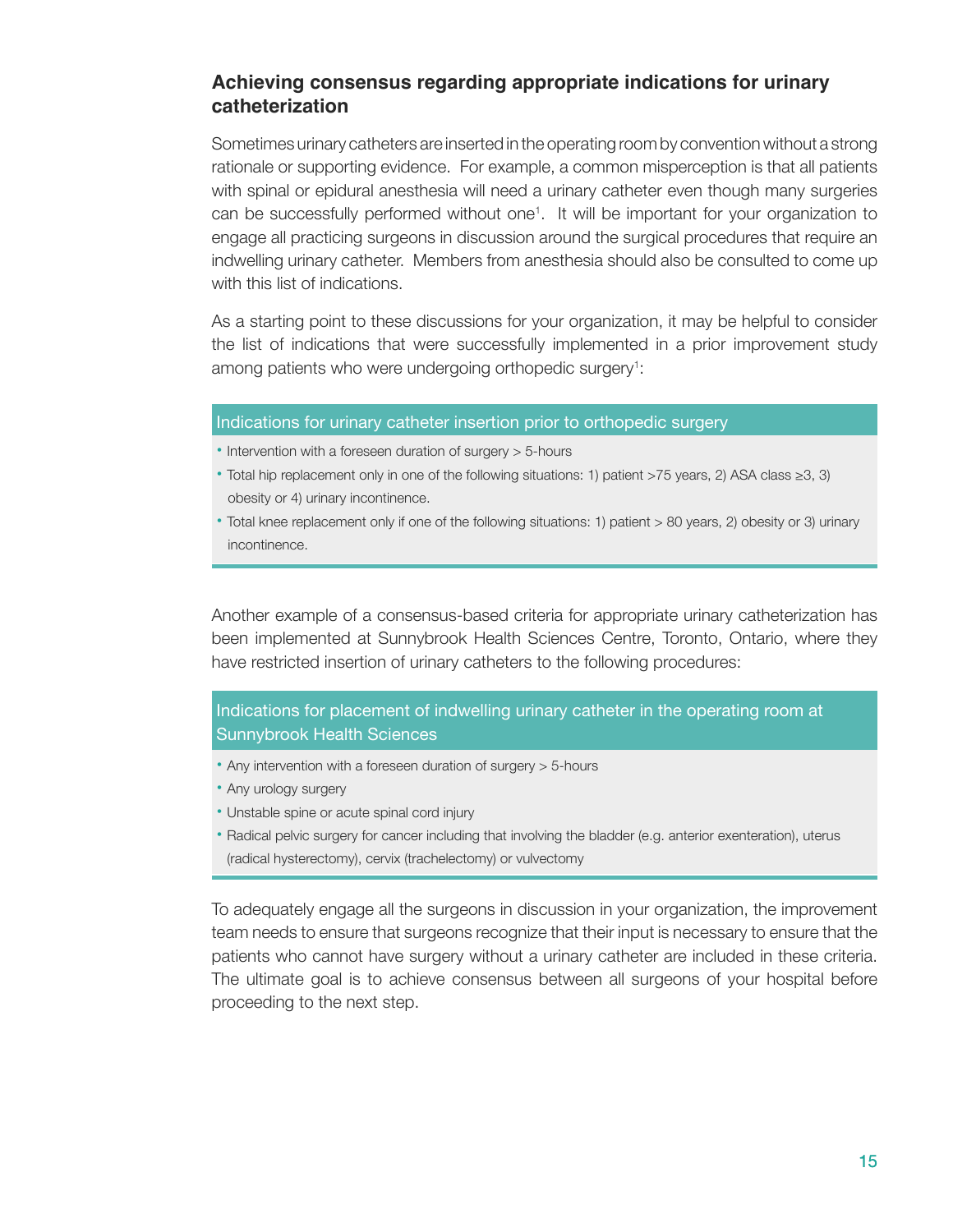## **Achieving consensus regarding appropriate indications for urinary catheterization**

Sometimes urinary catheters are inserted in the operating room by convention without a strong rationale or supporting evidence. For example, a common misperception is that all patients with spinal or epidural anesthesia will need a urinary catheter even though many surgeries can be successfully performed without one<sup>1</sup>. It will be important for your organization to engage all practicing surgeons in discussion around the surgical procedures that require an indwelling urinary catheter. Members from anesthesia should also be consulted to come up with this list of indications.

As a starting point to these discussions for your organization, it may be helpful to consider the list of indications that were successfully implemented in a prior improvement study among patients who were undergoing orthopedic surgery<sup>1</sup>:

#### Indications for urinary catheter insertion prior to orthopedic surgery

- Intervention with a foreseen duration of surgery > 5-hours
- Total hip replacement only in one of the following situations: 1) patient >75 years, 2) ASA class ≥3, 3) obesity or 4) urinary incontinence.
- Total knee replacement only if one of the following situations: 1) patient > 80 years, 2) obesity or 3) urinary incontinence.

Another example of a consensus-based criteria for appropriate urinary catheterization has been implemented at Sunnybrook Health Sciences Centre, Toronto, Ontario, where they have restricted insertion of urinary catheters to the following procedures:

## Indications for placement of indwelling urinary catheter in the operating room at Sunnybrook Health Sciences

- Any intervention with a foreseen duration of surgery > 5-hours
- Any urology surgery
- Unstable spine or acute spinal cord injury
- Radical pelvic surgery for cancer including that involving the bladder (e.g. anterior exenteration), uterus (radical hysterectomy), cervix (trachelectomy) or vulvectomy

To adequately engage all the surgeons in discussion in your organization, the improvement team needs to ensure that surgeons recognize that their input is necessary to ensure that the patients who cannot have surgery without a urinary catheter are included in these criteria. The ultimate goal is to achieve consensus between all surgeons of your hospital before proceeding to the next step.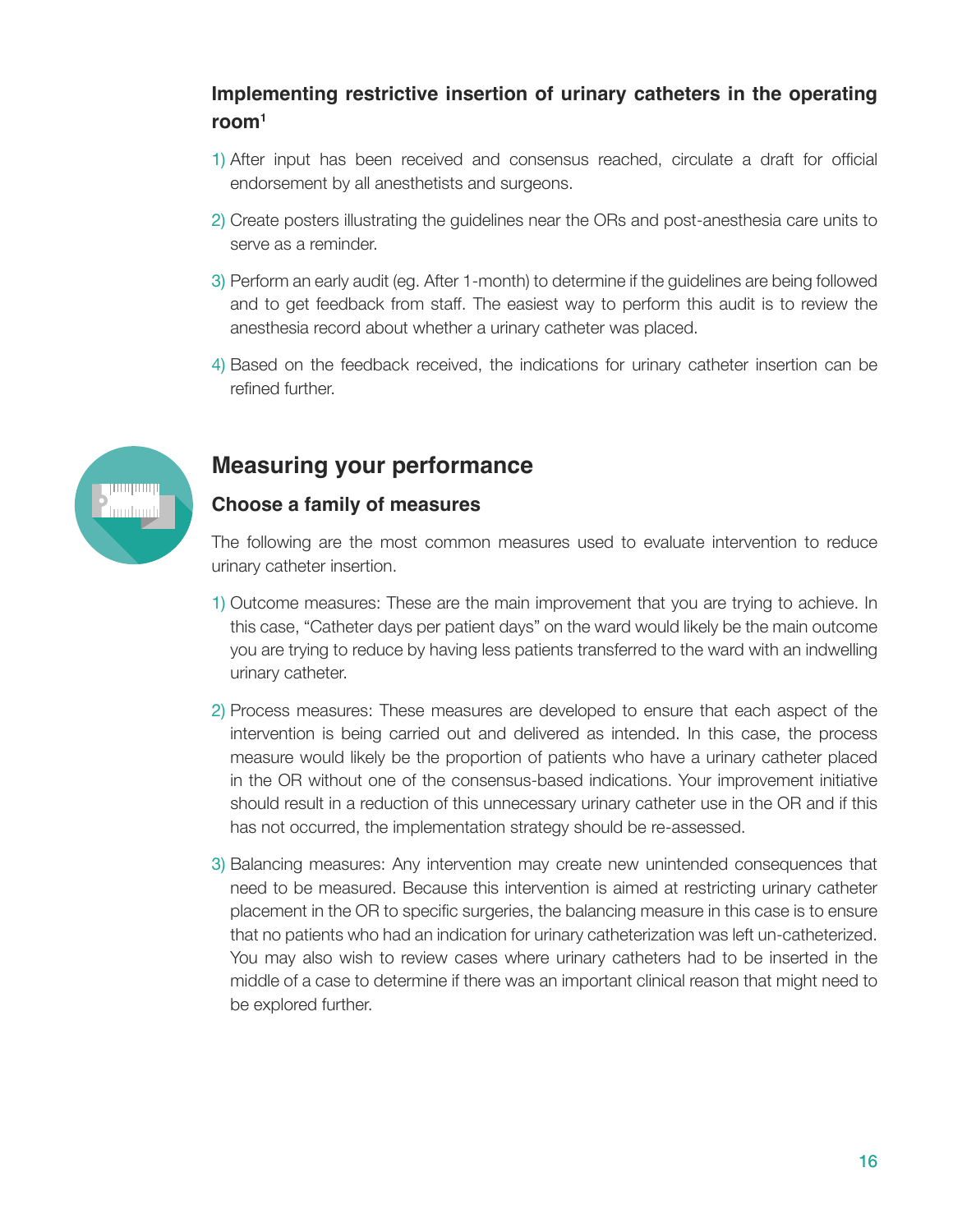## **Implementing restrictive insertion of urinary catheters in the operating room1**

- 1) After input has been received and consensus reached, circulate a draft for official endorsement by all anesthetists and surgeons.
- 2) Create posters illustrating the guidelines near the ORs and post-anesthesia care units to serve as a reminder.
- 3) Perform an early audit (eg. After 1-month) to determine if the guidelines are being followed and to get feedback from staff. The easiest way to perform this audit is to review the anesthesia record about whether a urinary catheter was placed.
- 4) Based on the feedback received, the indications for urinary catheter insertion can be refined further.



# **Measuring your performance**

## **Choose a family of measures**

The following are the most common measures used to evaluate intervention to reduce urinary catheter insertion.

- 1) Outcome measures: These are the main improvement that you are trying to achieve. In this case, "Catheter days per patient days" on the ward would likely be the main outcome you are trying to reduce by having less patients transferred to the ward with an indwelling urinary catheter.
- 2) Process measures: These measures are developed to ensure that each aspect of the intervention is being carried out and delivered as intended. In this case, the process measure would likely be the proportion of patients who have a urinary catheter placed in the OR without one of the consensus-based indications. Your improvement initiative should result in a reduction of this unnecessary urinary catheter use in the OR and if this has not occurred, the implementation strategy should be re-assessed.
- 3) Balancing measures: Any intervention may create new unintended consequences that need to be measured. Because this intervention is aimed at restricting urinary catheter placement in the OR to specific surgeries, the balancing measure in this case is to ensure that no patients who had an indication for urinary catheterization was left un-catheterized. You may also wish to review cases where urinary catheters had to be inserted in the middle of a case to determine if there was an important clinical reason that might need to be explored further.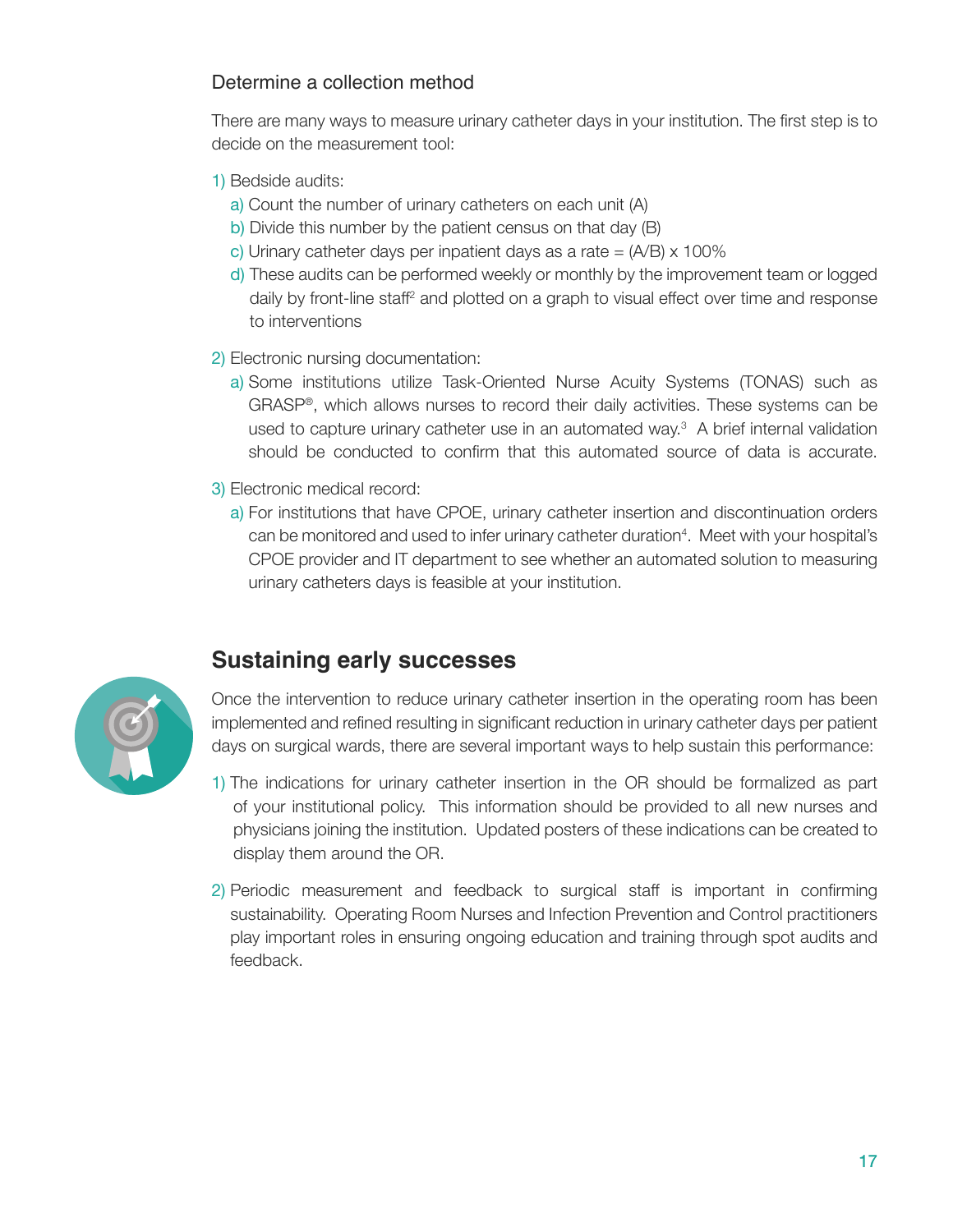## Determine a collection method

There are many ways to measure urinary catheter days in your institution. The first step is to decide on the measurement tool:

- 1) Bedside audits:
	- a) Count the number of urinary catheters on each unit (A)
	- b) Divide this number by the patient census on that day (B)
	- c) Urinary catheter days per inpatient days as a rate  $= (A/B) \times 100\%$
	- d) These audits can be performed weekly or monthly by the improvement team or logged daily by front-line staff<sup>2</sup> and plotted on a graph to visual effect over time and response to interventions
- 2) Electronic nursing documentation:
	- a) Some institutions utilize Task-Oriented Nurse Acuity Systems (TONAS) such as GRASP®, which allows nurses to record their daily activities. These systems can be used to capture urinary catheter use in an automated way.3 A brief internal validation should be conducted to confirm that this automated source of data is accurate.
- 3) Electronic medical record:
	- a) For institutions that have CPOE, urinary catheter insertion and discontinuation orders can be monitored and used to infer urinary catheter duration<sup>4</sup>. Meet with your hospital's CPOE provider and IT department to see whether an automated solution to measuring urinary catheters days is feasible at your institution.



# **Sustaining early successes**

Once the intervention to reduce urinary catheter insertion in the operating room has been implemented and refined resulting in significant reduction in urinary catheter days per patient days on surgical wards, there are several important ways to help sustain this performance:

- 1) The indications for urinary catheter insertion in the OR should be formalized as part of your institutional policy. This information should be provided to all new nurses and physicians joining the institution. Updated posters of these indications can be created to display them around the OR.
- 2) Periodic measurement and feedback to surgical staff is important in confirming sustainability. Operating Room Nurses and Infection Prevention and Control practitioners play important roles in ensuring ongoing education and training through spot audits and feedback.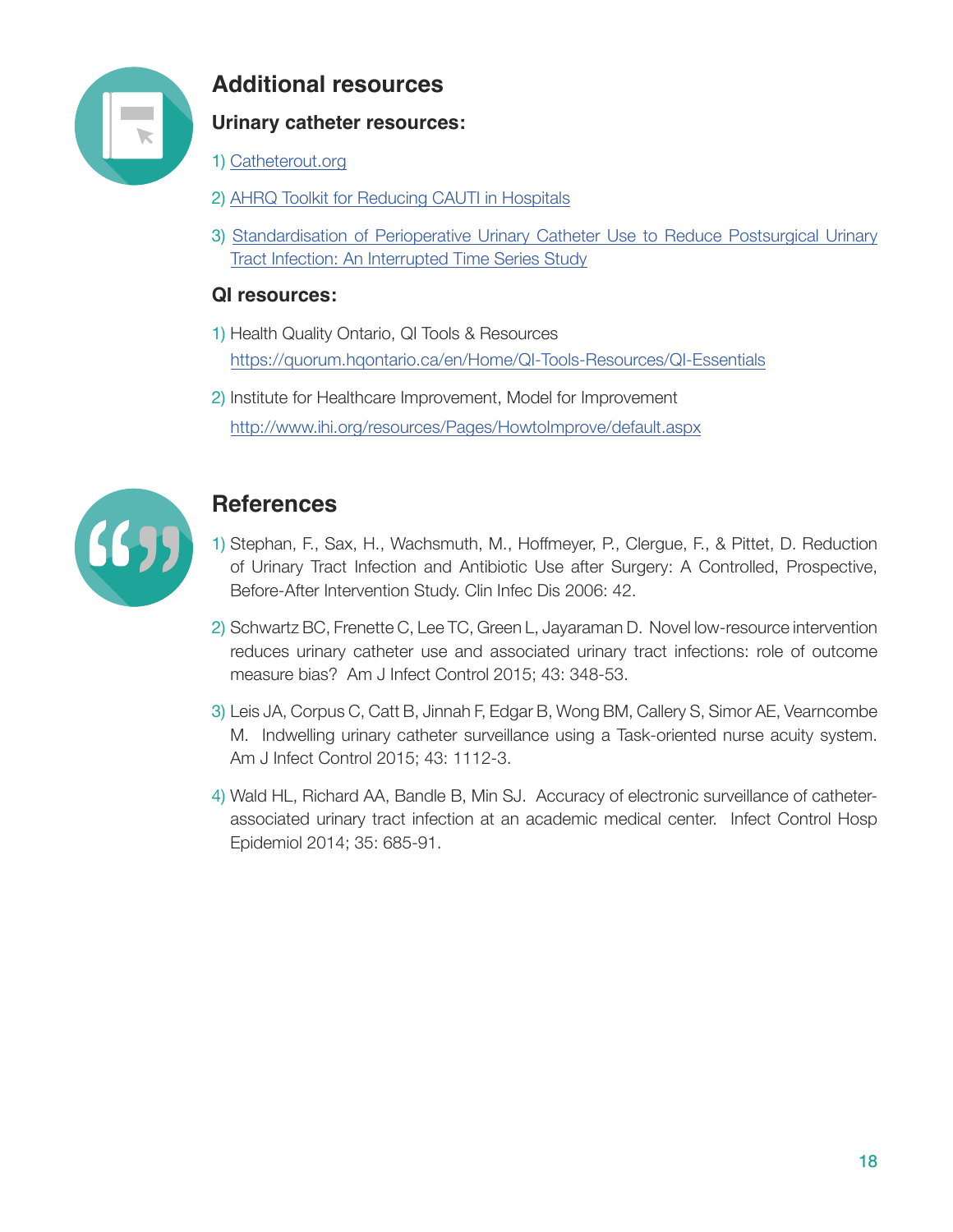

# **Additional resources**

## **Urinary catheter resources:**

- 1) [Catheterout.org](http://Catheterout.org)
- 2) [AHRQ Toolkit for Reducing CAUTI in Hospitals](http://www.ahrq.gov/professionals/quality-patient-safety/hais/tools/cauti-hospitals/index.html)
- 3) [Standardisation of Perioperative Urinary Catheter Use to Reduce Postsurgical Urinary](https://qualitysafety.bmj.com/content/28/1/32)  [Tract Infection: An Interrupted Time Series Study](https://qualitysafety.bmj.com/content/28/1/32)

## **QI resources:**

- 1) Health Quality Ontario, QI Tools & Resources <https://quorum.hqontario.ca/en/Home/QI-Tools-Resources/QI-Essentials>
- 2) Institute for Healthcare Improvement, Model for Improvement <http://www.ihi.org/resources/Pages/HowtoImprove/default.aspx>



# **References**

- 1) Stephan, F., Sax, H., Wachsmuth, M., Hoffmeyer, P., Clergue, F., & Pittet, D. Reduction of Urinary Tract Infection and Antibiotic Use after Surgery: A Controlled, Prospective, Before-After Intervention Study. Clin Infec Dis 2006: 42.
- 2) Schwartz BC, Frenette C, Lee TC, Green L, Jayaraman D. Novel low-resource intervention reduces urinary catheter use and associated urinary tract infections: role of outcome measure bias? Am J Infect Control 2015; 43: 348-53.
- 3) Leis JA, Corpus C, Catt B, Jinnah F, Edgar B, Wong BM, Callery S, Simor AE, Vearncombe M. Indwelling urinary catheter surveillance using a Task-oriented nurse acuity system. Am J Infect Control 2015; 43: 1112-3.
- 4) Wald HL, Richard AA, Bandle B, Min SJ. Accuracy of electronic surveillance of catheterassociated urinary tract infection at an academic medical center. Infect Control Hosp Epidemiol 2014; 35: 685-91.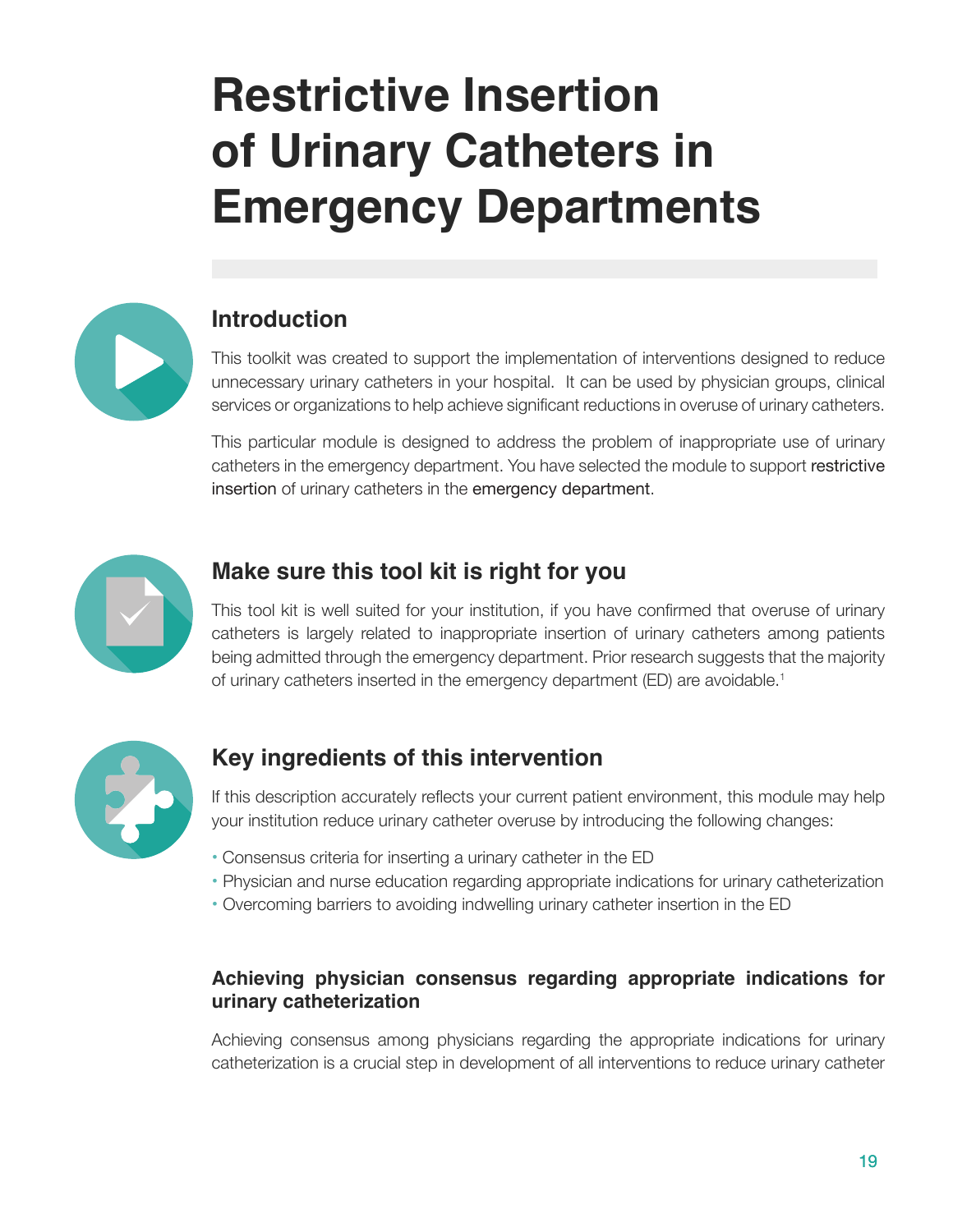# <span id="page-18-0"></span>**Restrictive Insertion of Urinary Catheters in Emergency Departments**



# **Introduction**

This toolkit was created to support the implementation of interventions designed to reduce unnecessary urinary catheters in your hospital. It can be used by physician groups, clinical services or organizations to help achieve significant reductions in overuse of urinary catheters.

This particular module is designed to address the problem of inappropriate use of urinary catheters in the emergency department. You have selected the module to support restrictive insertion of urinary catheters in the emergency department.



# **Make sure this tool kit is right for you**

This tool kit is well suited for your institution, if you have confirmed that overuse of urinary catheters is largely related to inappropriate insertion of urinary catheters among patients being admitted through the emergency department. Prior research suggests that the majority of urinary catheters inserted in the emergency department (ED) are avoidable.1



# **Key ingredients of this intervention**

If this description accurately reflects your current patient environment, this module may help your institution reduce urinary catheter overuse by introducing the following changes:

- Consensus criteria for inserting a urinary catheter in the ED
- Physician and nurse education regarding appropriate indications for urinary catheterization
- Overcoming barriers to avoiding indwelling urinary catheter insertion in the ED

## **Achieving physician consensus regarding appropriate indications for urinary catheterization**

Achieving consensus among physicians regarding the appropriate indications for urinary catheterization is a crucial step in development of all interventions to reduce urinary catheter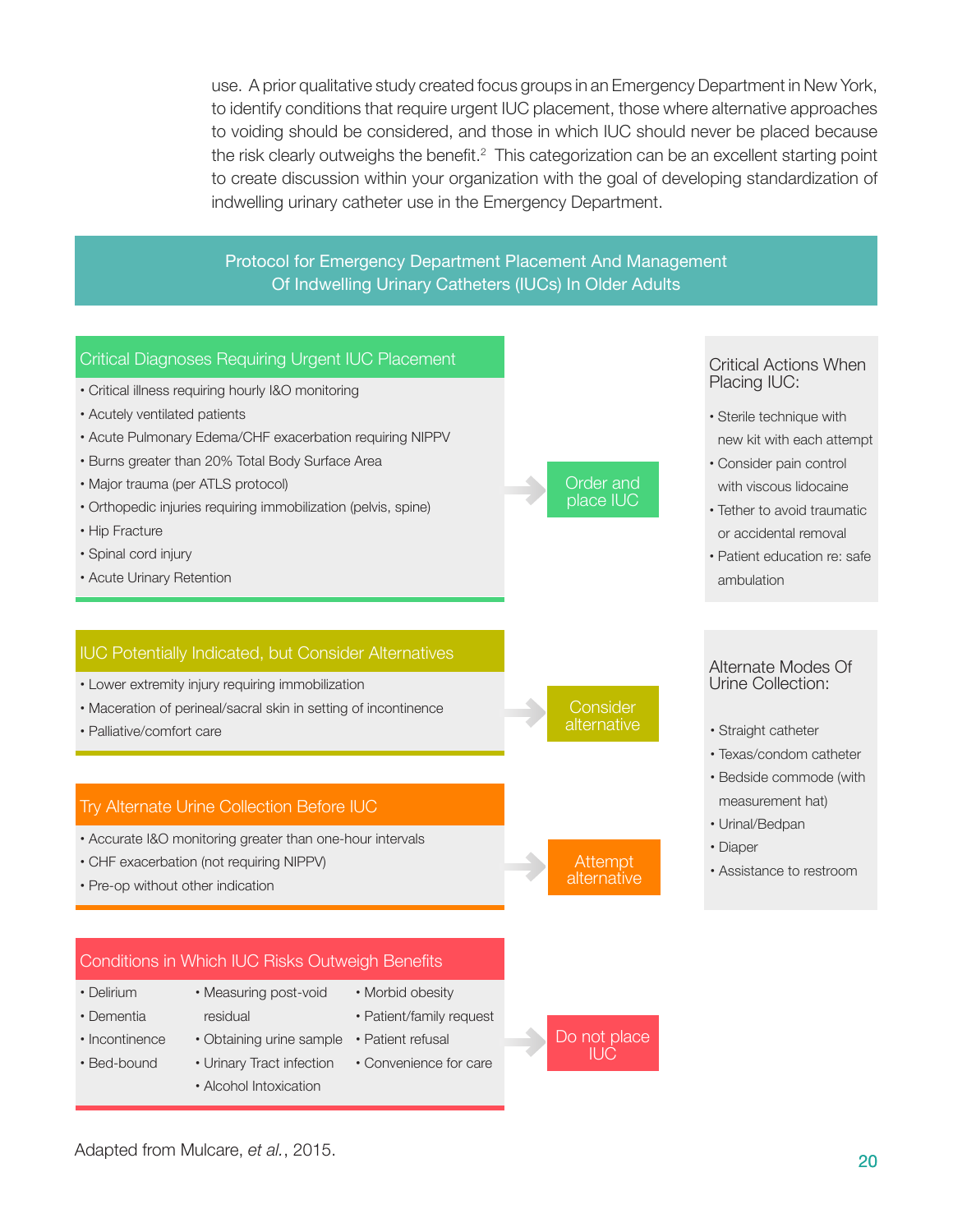use. A prior qualitative study created focus groups in an Emergency Department in New York, to identify conditions that require urgent IUC placement, those where alternative approaches to voiding should be considered, and those in which IUC should never be placed because the risk clearly outweighs the benefit.<sup>2</sup> This categorization can be an excellent starting point to create discussion within your organization with the goal of developing standardization of indwelling urinary catheter use in the Emergency Department.

#### Protocol for Emergency Department Placement And Management Of Indwelling Urinary Catheters (IUCs) In Older Adults



20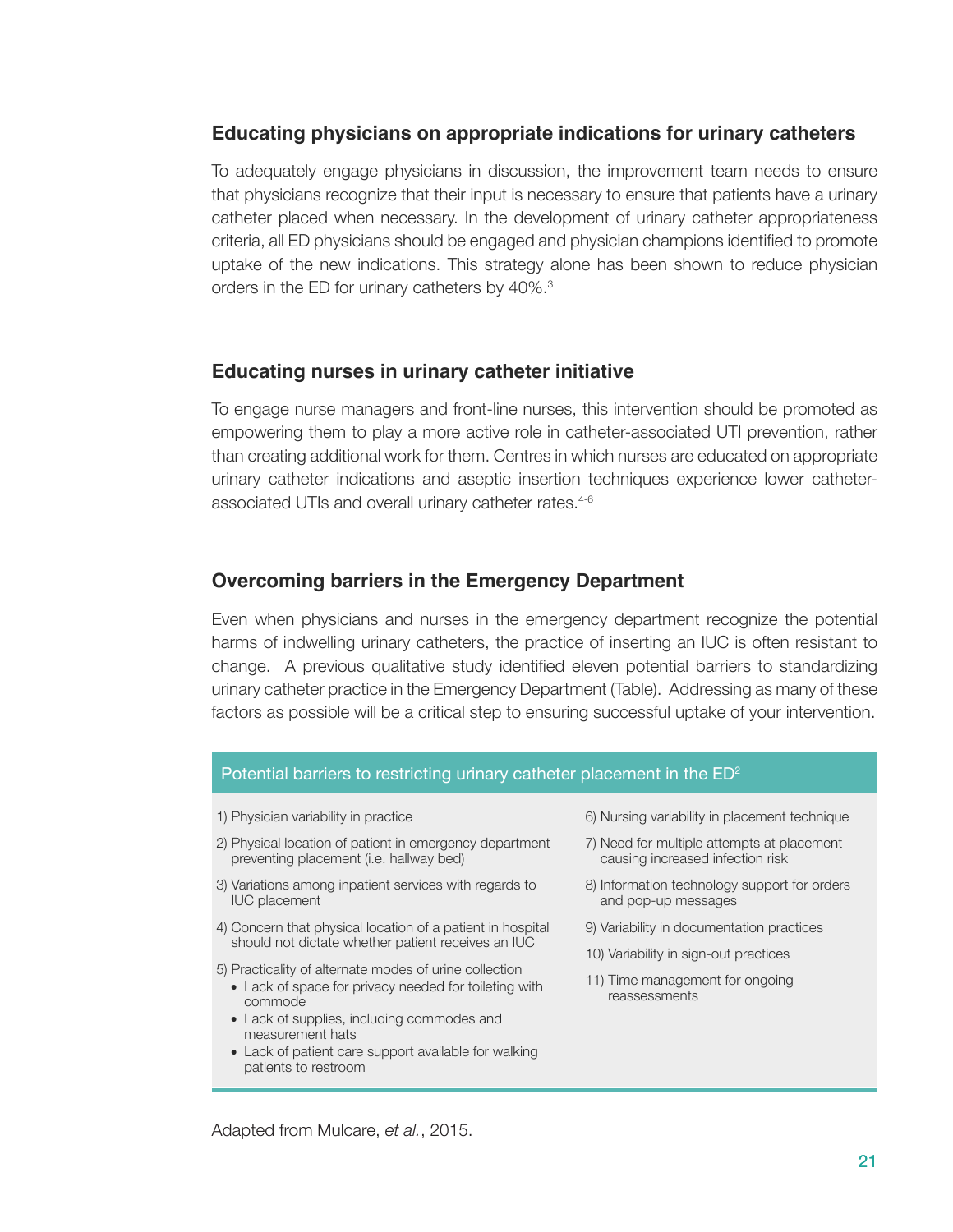## **Educating physicians on appropriate indications for urinary catheters**

To adequately engage physicians in discussion, the improvement team needs to ensure that physicians recognize that their input is necessary to ensure that patients have a urinary catheter placed when necessary. In the development of urinary catheter appropriateness criteria, all ED physicians should be engaged and physician champions identified to promote uptake of the new indications. This strategy alone has been shown to reduce physician orders in the ED for urinary catheters by 40%.<sup>3</sup>

### **Educating nurses in urinary catheter initiative**

To engage nurse managers and front-line nurses, this intervention should be promoted as empowering them to play a more active role in catheter-associated UTI prevention, rather than creating additional work for them. Centres in which nurses are educated on appropriate urinary catheter indications and aseptic insertion techniques experience lower catheterassociated UTIs and overall urinary catheter rates.<sup>4-6</sup>

## **Overcoming barriers in the Emergency Department**

Even when physicians and nurses in the emergency department recognize the potential harms of indwelling urinary catheters, the practice of inserting an IUC is often resistant to change. A previous qualitative study identified eleven potential barriers to standardizing urinary catheter practice in the Emergency Department (Table). Addressing as many of these factors as possible will be a critical step to ensuring successful uptake of your intervention.

#### Potential barriers to restricting urinary catheter placement in the  $ED<sup>2</sup>$

- 1) Physician variability in practice
- 2) Physical location of patient in emergency department preventing placement (i.e. hallway bed)
- 3) Variations among inpatient services with regards to IUC placement
- 4) Concern that physical location of a patient in hospital should not dictate whether patient receives an IUC
- 5) Practicality of alternate modes of urine collection
	- Lack of space for privacy needed for toileting with commode
	- Lack of supplies, including commodes and measurement hats
	- Lack of patient care support available for walking patients to restroom
- 6) Nursing variability in placement technique
- 7) Need for multiple attempts at placement causing increased infection risk
- 8) Information technology support for orders and pop-up messages
- 9) Variability in documentation practices
- 10) Variability in sign-out practices
- 11) Time management for ongoing reassessments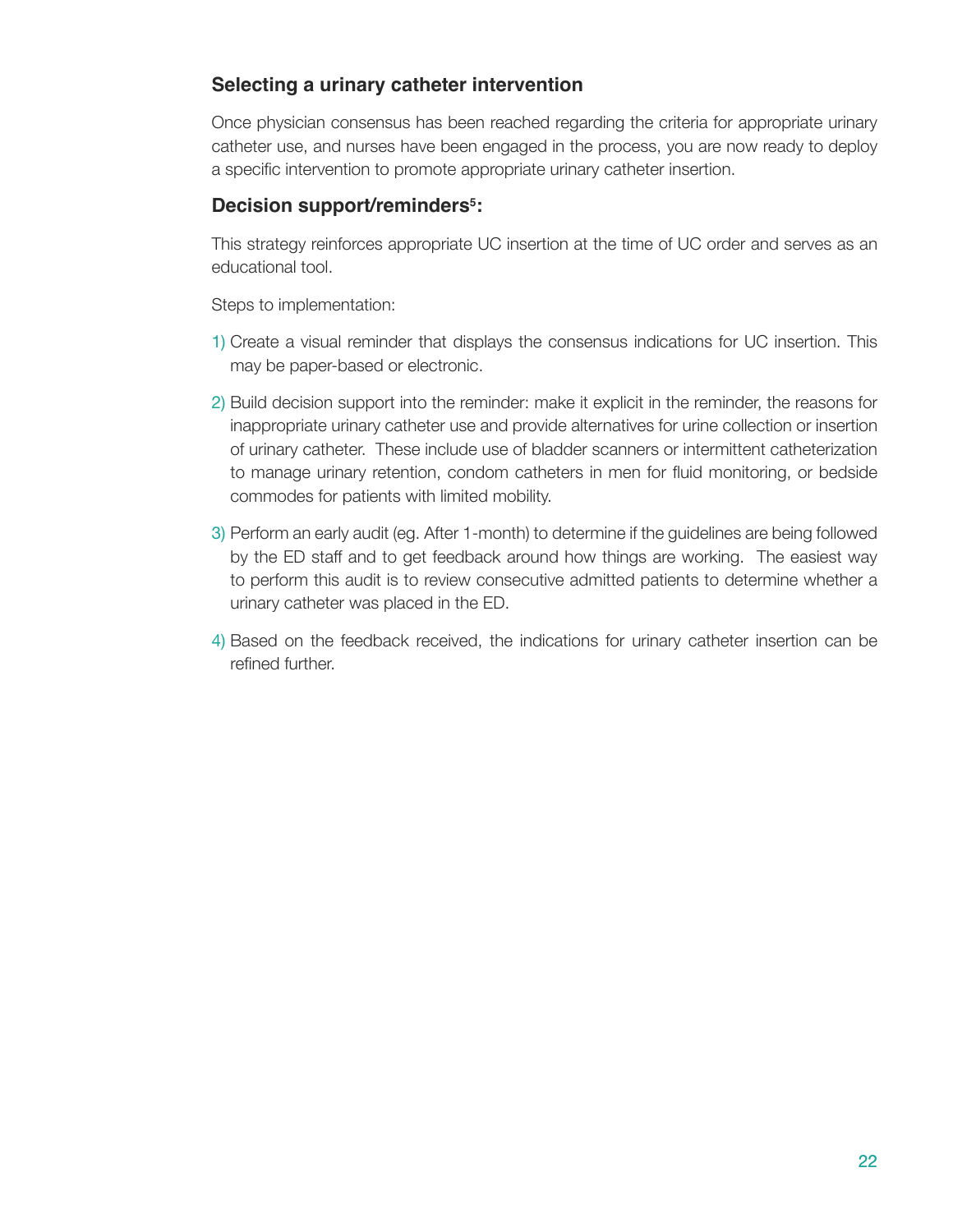## **Selecting a urinary catheter intervention**

Once physician consensus has been reached regarding the criteria for appropriate urinary catheter use, and nurses have been engaged in the process, you are now ready to deploy a specific intervention to promote appropriate urinary catheter insertion.

## Decision support/reminders<sup>5</sup>:

This strategy reinforces appropriate UC insertion at the time of UC order and serves as an educational tool.

Steps to implementation:

- 1) Create a visual reminder that displays the consensus indications for UC insertion. This may be paper-based or electronic.
- 2) Build decision support into the reminder: make it explicit in the reminder, the reasons for inappropriate urinary catheter use and provide alternatives for urine collection or insertion of urinary catheter. These include use of bladder scanners or intermittent catheterization to manage urinary retention, condom catheters in men for fluid monitoring, or bedside commodes for patients with limited mobility.
- 3) Perform an early audit (eg. After 1-month) to determine if the guidelines are being followed by the ED staff and to get feedback around how things are working. The easiest way to perform this audit is to review consecutive admitted patients to determine whether a urinary catheter was placed in the ED.
- 4) Based on the feedback received, the indications for urinary catheter insertion can be refined further.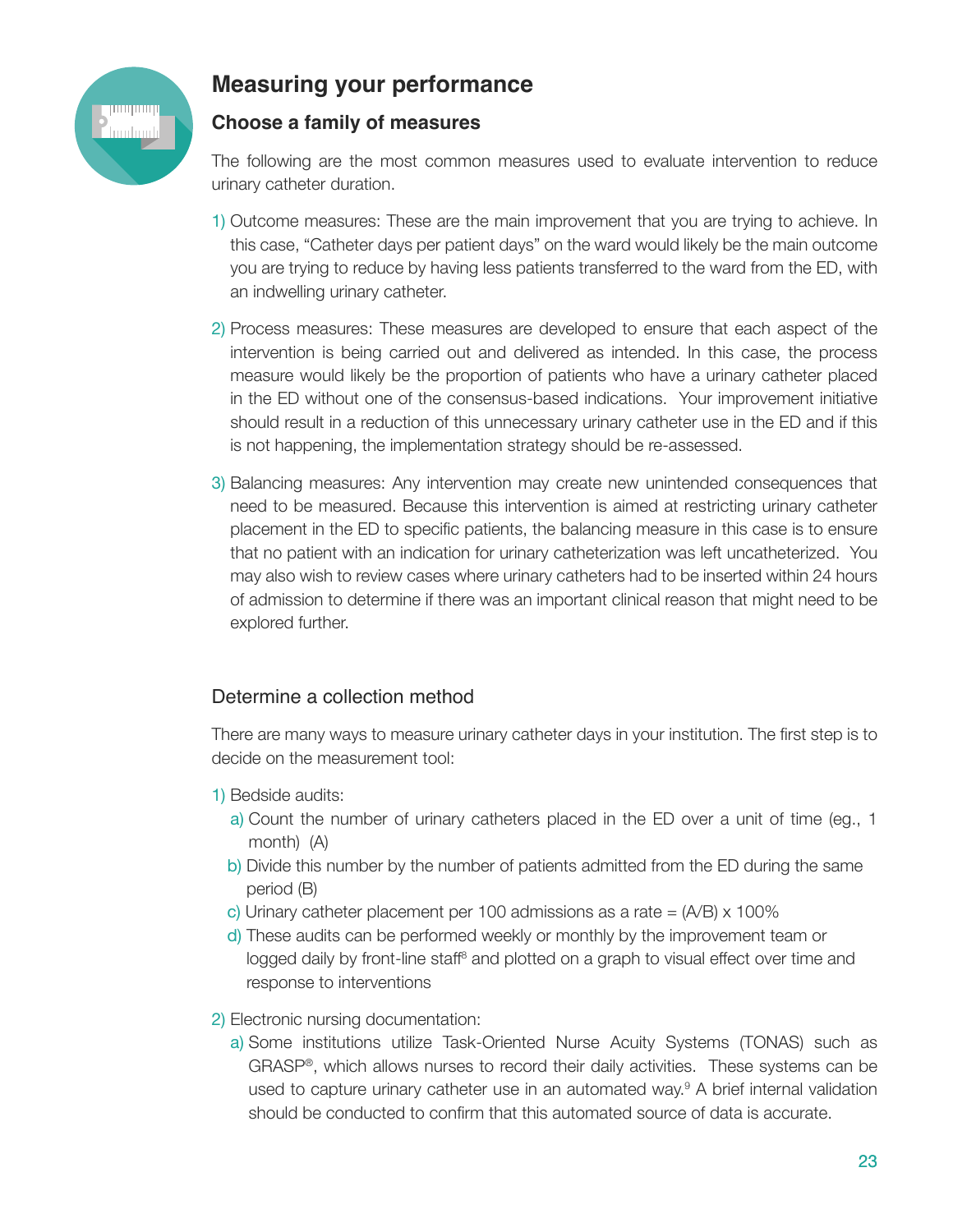

# **Measuring your performance**

## **Choose a family of measures**

The following are the most common measures used to evaluate intervention to reduce urinary catheter duration.

- 1) Outcome measures: These are the main improvement that you are trying to achieve. In this case, "Catheter days per patient days" on the ward would likely be the main outcome you are trying to reduce by having less patients transferred to the ward from the ED, with an indwelling urinary catheter.
- 2) Process measures: These measures are developed to ensure that each aspect of the intervention is being carried out and delivered as intended. In this case, the process measure would likely be the proportion of patients who have a urinary catheter placed in the ED without one of the consensus-based indications. Your improvement initiative should result in a reduction of this unnecessary urinary catheter use in the ED and if this is not happening, the implementation strategy should be re-assessed.
- 3) Balancing measures: Any intervention may create new unintended consequences that need to be measured. Because this intervention is aimed at restricting urinary catheter placement in the ED to specific patients, the balancing measure in this case is to ensure that no patient with an indication for urinary catheterization was left uncatheterized. You may also wish to review cases where urinary catheters had to be inserted within 24 hours of admission to determine if there was an important clinical reason that might need to be explored further.

## Determine a collection method

There are many ways to measure urinary catheter days in your institution. The first step is to decide on the measurement tool:

- 1) Bedside audits:
	- a) Count the number of urinary catheters placed in the ED over a unit of time (eg., 1 month) (A)
	- b) Divide this number by the number of patients admitted from the ED during the same period (B)
	- c) Urinary catheter placement per 100 admissions as a rate =  $(A/B) \times 100\%$
	- d) These audits can be performed weekly or monthly by the improvement team or logged daily by front-line staff<sup>8</sup> and plotted on a graph to visual effect over time and response to interventions
- 2) Electronic nursing documentation:
	- a) Some institutions utilize Task-Oriented Nurse Acuity Systems (TONAS) such as GRASP®, which allows nurses to record their daily activities. These systems can be used to capture urinary catheter use in an automated way.9 A brief internal validation should be conducted to confirm that this automated source of data is accurate.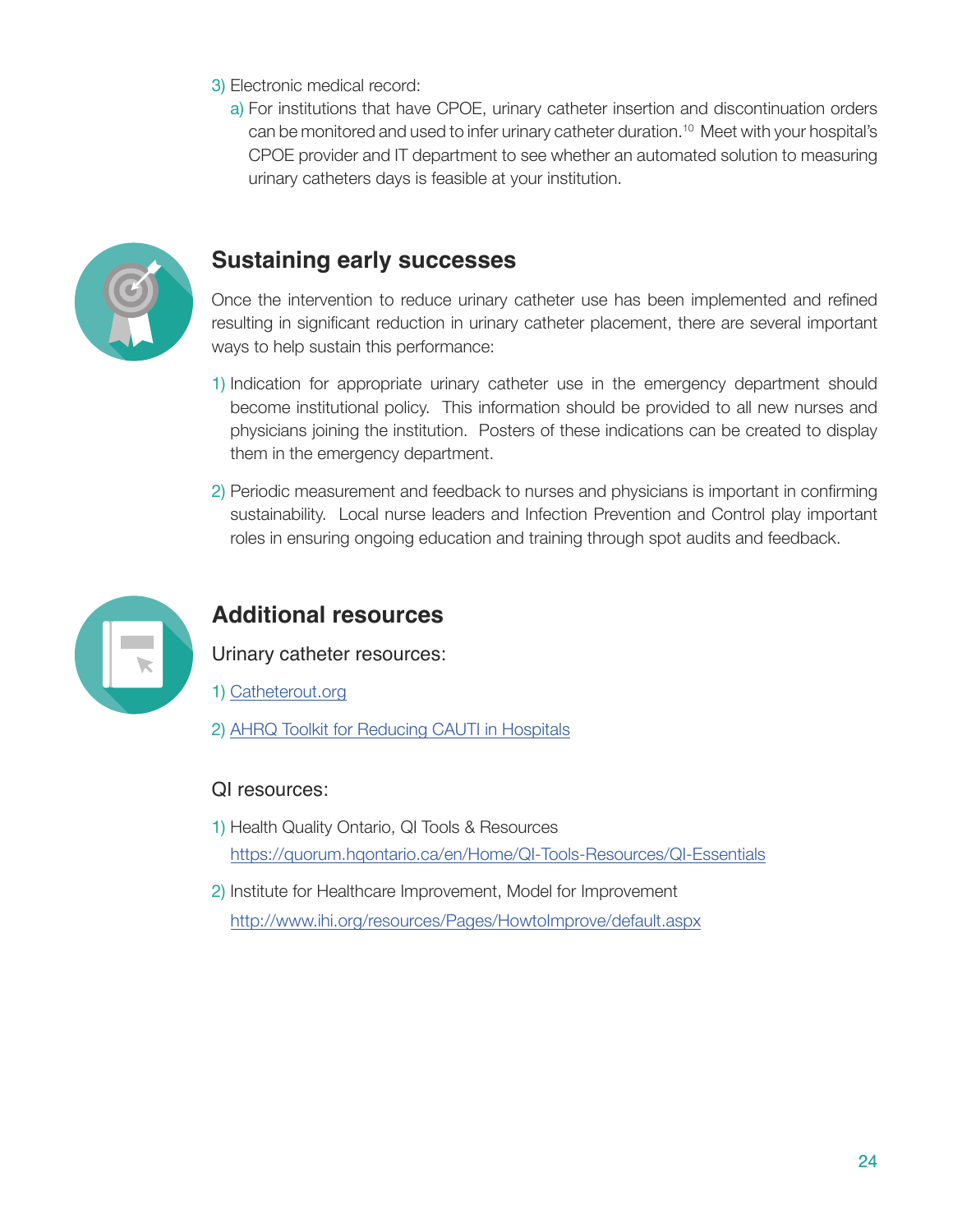- 3) Electronic medical record:
	- a) For institutions that have CPOE, urinary catheter insertion and discontinuation orders can be monitored and used to infer urinary catheter duration.10 Meet with your hospital's CPOE provider and IT department to see whether an automated solution to measuring urinary catheters days is feasible at your institution.



# **Sustaining early successes**

Once the intervention to reduce urinary catheter use has been implemented and refined resulting in significant reduction in urinary catheter placement, there are several important ways to help sustain this performance:

- 1) Indication for appropriate urinary catheter use in the emergency department should become institutional policy. This information should be provided to all new nurses and physicians joining the institution. Posters of these indications can be created to display them in the emergency department.
- 2) Periodic measurement and feedback to nurses and physicians is important in confirming sustainability. Local nurse leaders and Infection Prevention and Control play important roles in ensuring ongoing education and training through spot audits and feedback.



# **Additional resources**

Urinary catheter resources:

- 1) [Catheterout.org](http://Catheterout.org)
- 2) [AHRQ Toolkit for Reducing CAUTI in Hospitals](http://www.ahrq.gov/professionals/quality-patient-safety/hais/tools/cauti-hospitals/index.html)

## QI resources:

- 1) Health Quality Ontario, QI Tools & Resources <https://quorum.hqontario.ca/en/Home/QI-Tools-Resources/QI-Essentials>
- 2) Institute for Healthcare Improvement, Model for Improvement <http://www.ihi.org/resources/Pages/HowtoImprove/default.aspx>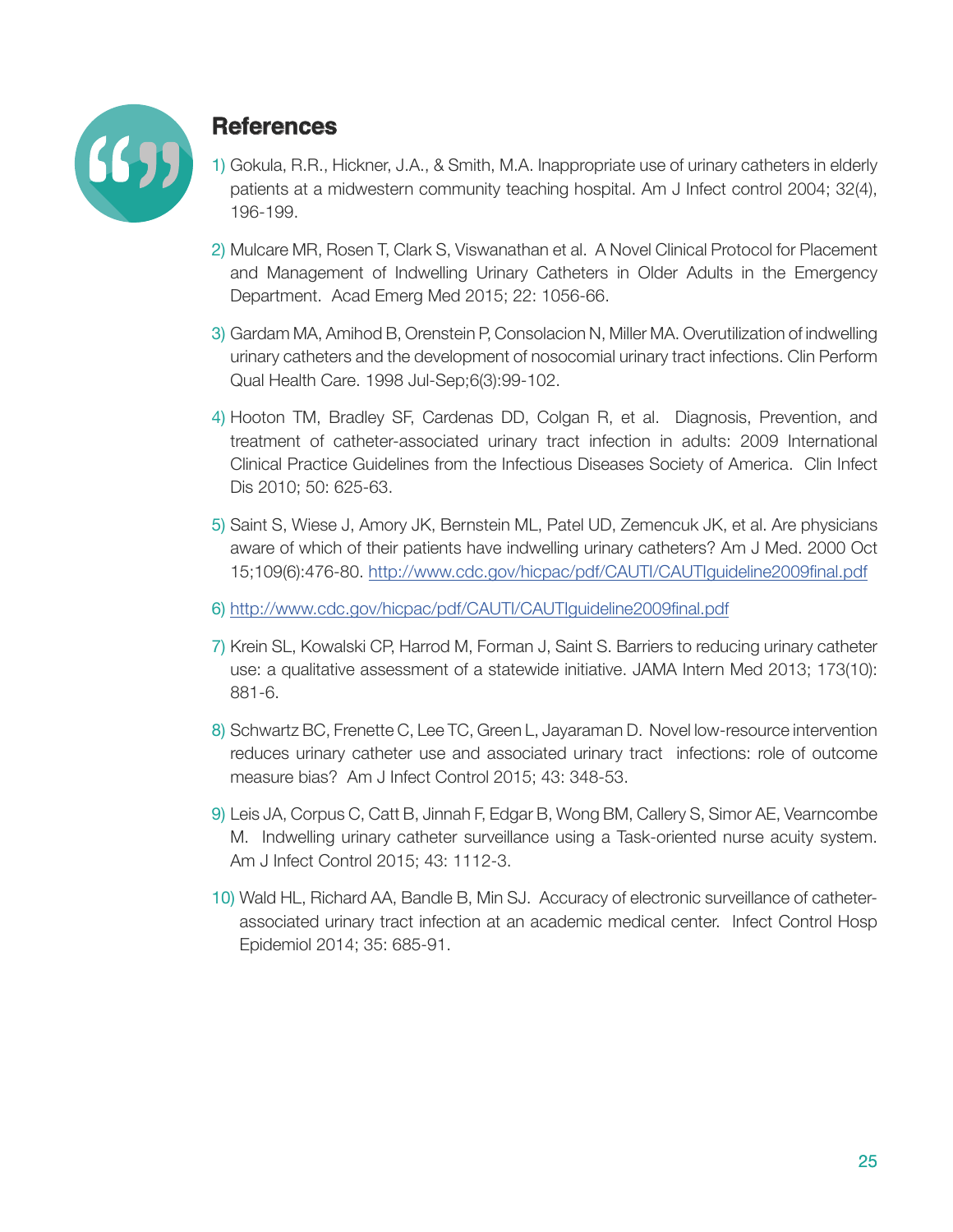

# **References**

- 1) Gokula, R.R., Hickner, J.A., & Smith, M.A. Inappropriate use of urinary catheters in elderly patients at a midwestern community teaching hospital. Am J Infect control 2004; 32(4), 196-199.
- 2) Mulcare MR, Rosen T, Clark S, Viswanathan et al. A Novel Clinical Protocol for Placement and Management of Indwelling Urinary Catheters in Older Adults in the Emergency Department. Acad Emerg Med 2015; 22: 1056-66.
- 3) Gardam MA, Amihod B, Orenstein P, Consolacion N, Miller MA. Overutilization of indwelling urinary catheters and the development of nosocomial urinary tract infections. Clin Perform Qual Health Care. 1998 Jul-Sep;6(3):99-102.
- 4) Hooton TM, Bradley SF, Cardenas DD, Colgan R, et al. Diagnosis, Prevention, and treatment of catheter-associated urinary tract infection in adults: 2009 International Clinical Practice Guidelines from the Infectious Diseases Society of America. Clin Infect Dis 2010; 50: 625-63.
- 5) Saint S, Wiese J, Amory JK, Bernstein ML, Patel UD, Zemencuk JK, et al. Are physicians aware of which of their patients have indwelling urinary catheters? Am J Med. 2000 Oct 15;109(6):476-80. http://www.cdc.gov/hicpac/pdf/CAUTI/CAUTIguideline2009final.pdf
- 6) http://www.cdc.gov/hicpac/pdf/CAUTI/CAUTIguideline2009final.pdf
- 7) Krein SL, Kowalski CP, Harrod M, Forman J, Saint S. Barriers to reducing urinary catheter use: a qualitative assessment of a statewide initiative. JAMA Intern Med 2013; 173(10): 881-6.
- 8) Schwartz BC, Frenette C, Lee TC, Green L, Jayaraman D. Novel low-resource intervention reduces urinary catheter use and associated urinary tract infections: role of outcome measure bias? Am J Infect Control 2015; 43: 348-53.
- 9) Leis JA, Corpus C, Catt B, Jinnah F, Edgar B, Wong BM, Callery S, Simor AE, Vearncombe M. Indwelling urinary catheter surveillance using a Task-oriented nurse acuity system. Am J Infect Control 2015; 43: 1112-3.
- 10) Wald HL, Richard AA, Bandle B, Min SJ. Accuracy of electronic surveillance of catheterassociated urinary tract infection at an academic medical center. Infect Control Hosp Epidemiol 2014; 35: 685-91.